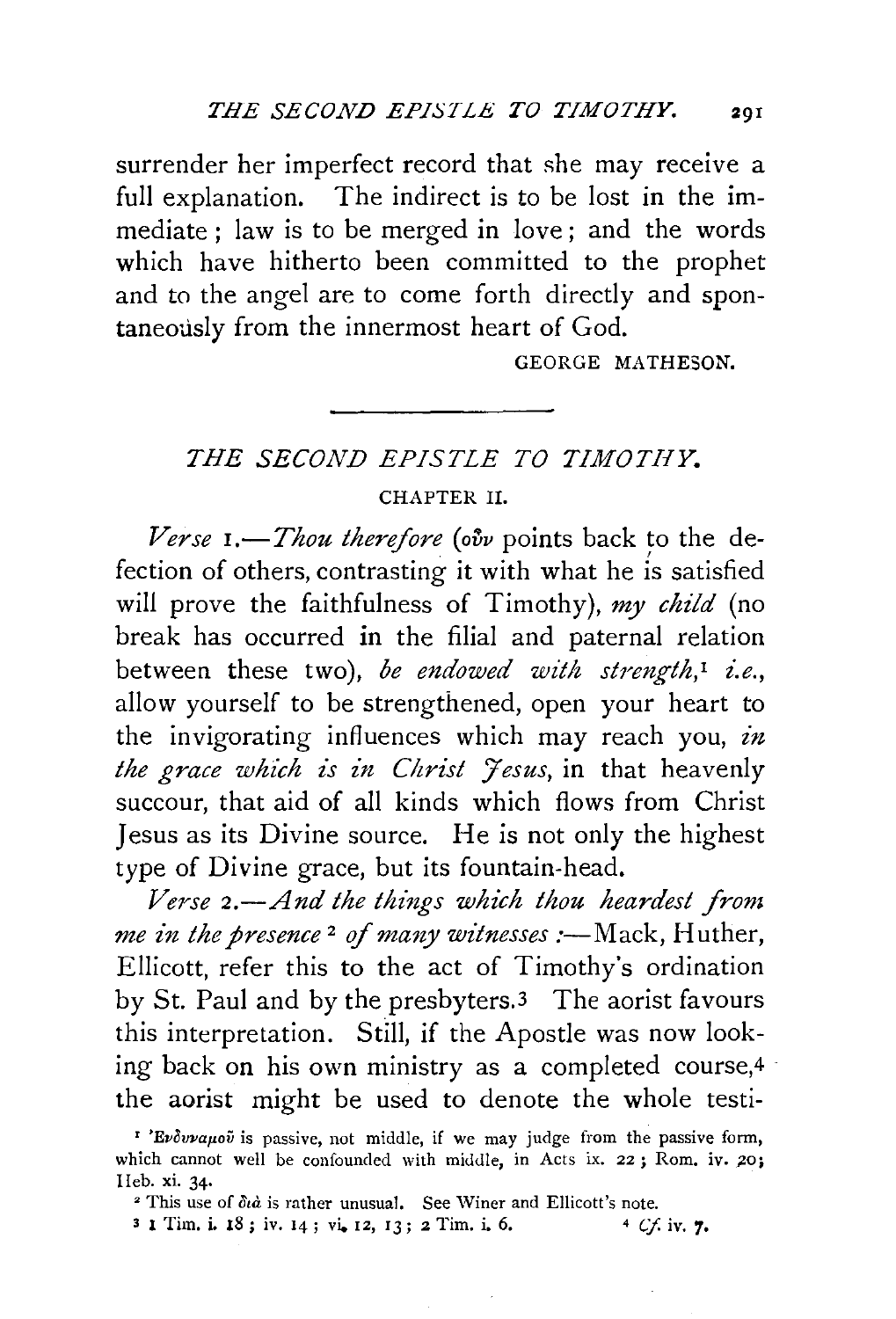surrender her imperfect record that she may receive a full explanation. The indirect is *to* be lost in the immediate ; law is to be merged in love; and the words which have hitherto been committed to the prophet and to the angel are to come forth directly and spontaneously from the innermost heart of God.

GEORGE MATHESON.

## *THE SECOND EPISTLE TO TIMOTHY.*  CHAPTER II.

*Verse I.*—*Thou therefore (ovv* points back to the defection of others, contrasting it with what he is satisfied will prove the faithfulness of Timothy), *my child* (no break has occurred in the filial and paternal relation between these two), *be endowed with strength*,<sup>1</sup> *i.e.*, allow yourself to be strengthened, open your heart to the invigorating influences which may reach you, *in the grace which is in Christ Jesus*, in that heavenly succour, that aid of all kinds which flows from Christ Jesus as its Divine source. He is not only the highest type of Divine grace, but its fountain-head.

*Verse 2.-And the things which thou heardest from me in the presence*<sup>2</sup> of *many witnesses* :—Mack, Huther, Ellicott, refer this to the act of Timothy's ordination by St. Paul and by the presbyters.3 The aorist favours this interpretation. Still, if the Apostle was now looking back on his own ministry as a completed course,4 · the aorist might be used to denote the whole testi-

<sup>&</sup>lt;sup>z</sup> 'Evovauov is passive, not middle, if we may judge from the passive form, which cannot well be confounded with middle, in Acts ix. 22; Rom. iv. 20; IIeb. xi. 34. 2 I Is rather unusual. See Winer and Ellicott's note.

<sup>3 1</sup> Tim. i. 18; iv. 14; vi. 12, 13; 2 Tim. i. 6.  $4 \, \text{Cf. iv. } 7$ .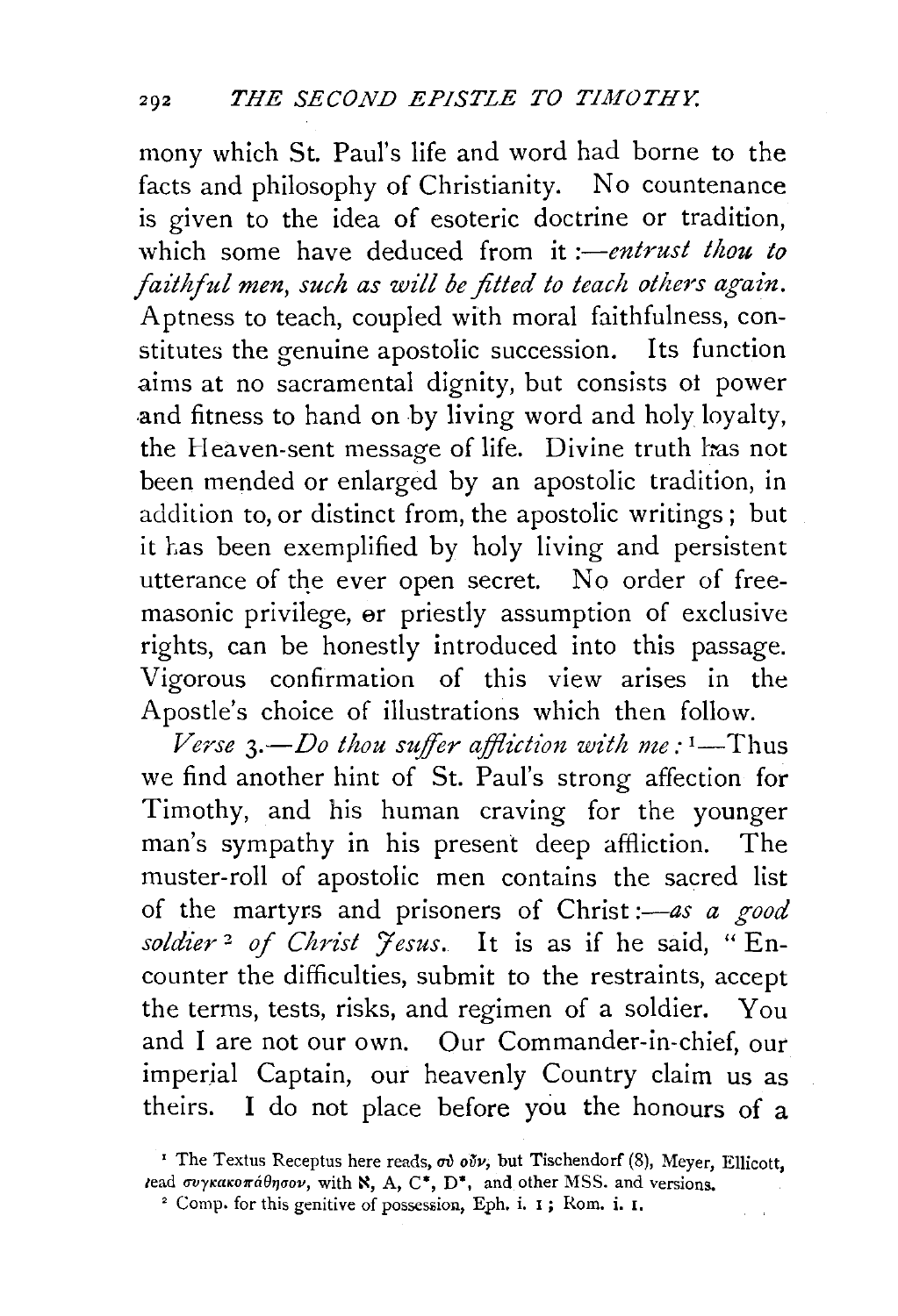mony which St. Paul's life and word had borne to the facts and philosophy of Christianity. No countenance is given to the idea of esoteric doctrine or tradition, which some have deduced from it *:—entrust thou to faithful men, such as will be fitted to teach others again.*  Aptness to teach, coupled with moral faithfulness, constitutes the genuine apostolic succession. Its function aims at no sacramental dignity, but consists ot power and fitness to hand on by living word and holy loyalty, the Heaven-sent message of life. Divine truth has not been mended or enlarged by an apostolic tradition, in addition to, or distinct from, the apostolic writings; but it has been exemplified by holy living and persistent utterance of the ever open secret. No order of freemasonic privilege, er priestly assumption of exclusive rights, can be honestly introduced into this passage. Vigorous confirmation of this view arises in the Apostle's choice of illustrations which then follow.

*Verse*  $3. -Do$  thou suffer affliction with me:  $1 - Thus$ we find another hint of St. Paul's strong affection for Timothy, and his human craving for the younger man's sympathy in his present deep affliction. The muster-roll of apostolic men contains the sacred list of the martyrs and prisoners of Christ *:-as a good soldier* 2 *of Christ J'esus.* It is as if he said, "Encounter the difficulties, submit to the restraints, accept the terms, tests, risks, and regimen of a soldier. You and I are not our own. Our Commander-in-chief, our imperial Captain, our heavenly Country claim us as theirs. I do not place before you the honours of a

<sup>&</sup>lt;sup>I</sup> The Textus Receptus here reads,  $\sigma \delta \nu$ , but Tischendorf (8), Meyer, Ellicott, lead  $\sigma\nu\gamma\kappa\alpha\kappa\sigma\pi\acute{a}\theta\eta\sigma\sigma\nu$ , with  $\aleph$ , A, C\*, D\*, and other MSS. and versions.

<sup>&</sup>lt;sup>2</sup> Comp. for this genitive of possession, Eph. i. I; Rom. i. I.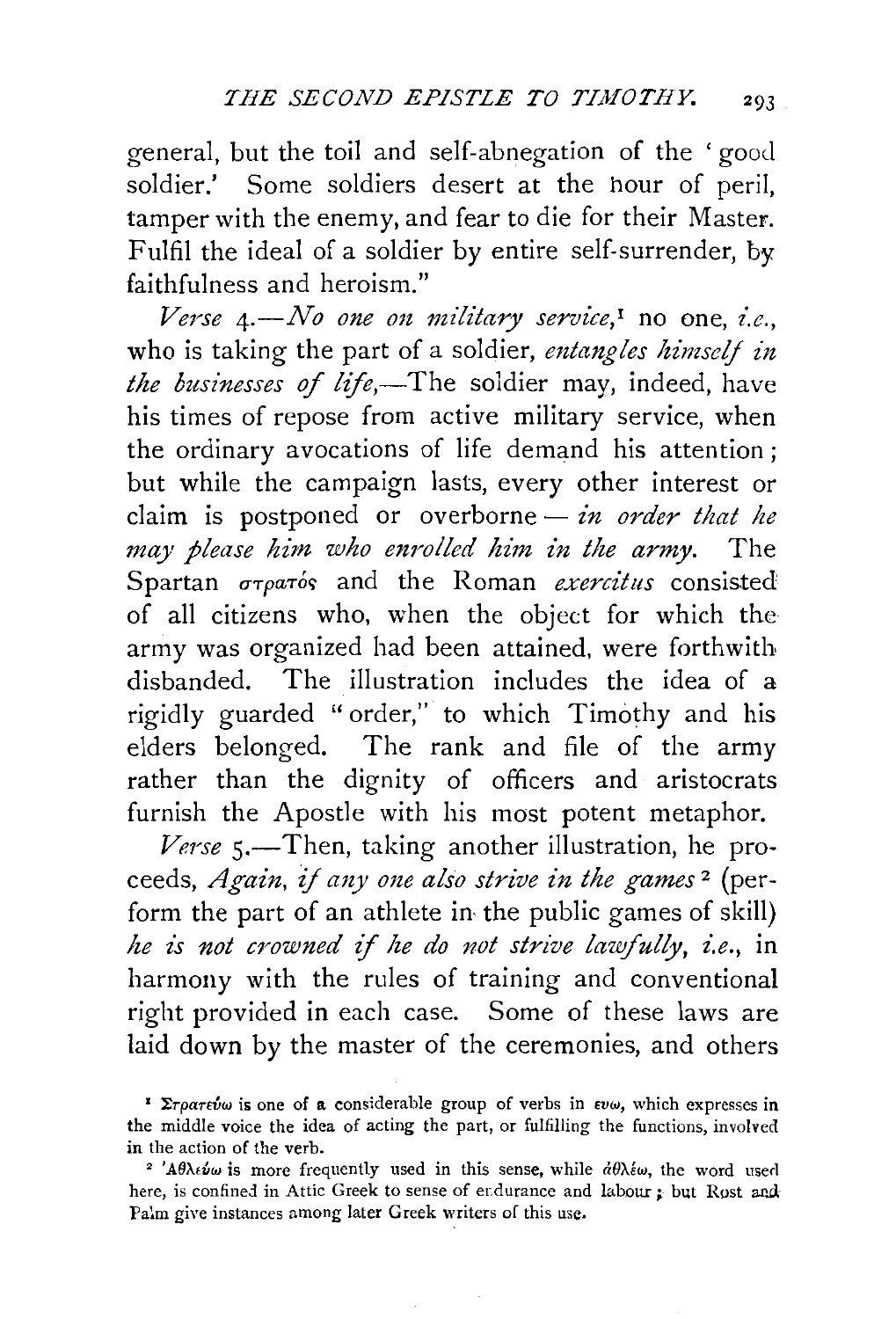general, but the toil and self-abnegation of the 'good soldier.' Some soldiers desert at the hour of peril, tamper with the enemy, and fear to die for their Master. Fulfil the ideal of a soldier by entire self-surrender, by faithfulness and heroism."

*Verse* 4. - *No one on military service*,<sup>*i*</sup> no one, *i.e.*, who is taking the part of a soldier, *entangles himself in the businesses of life,-The* soldier may, indeed, have his times of repose from active military service, when the ordinary avocations of life demand his attention ; but while the campaign lasts, every other interest or claim is postponed or overborne - *in order that he may please him who enrolled him £n the army.* The Spartan  $\sigma\tau\rho\sigma\tau$ ós and the Roman *exercitus* consisted of all citizens who, when the object for which the army was organized had been attained, were forthwith disbanded. The illustration includes the idea of a rigidly guarded "order," to which Timothy and his elders belonged. The rank and file of the army rather than the dignity of officers and aristocrats furnish the Apostle with his most potent metaphor.

*Verse* s.-Then, taking another illustration, he proceeds, *Again,* if *any one also strive in the games* 2 (perform the part of an athlete in, the public games of skill) *he is not crowned if he do not strive lawfully, i.e., in* harmony with the rules of training and conventional right provided in each case. Some of these laws are laid down by the master of the ceremonies, and others

<sup>&</sup>lt;sup>1</sup>  $\Sigma$ *rpartivw* is one of a considerable group of verbs in  $\epsilon v \omega$ , which expresses in the middle voice the idea of acting the part, or fulfilling the functions, involved in the action of the verb.<br><sup>2</sup> 'A $\theta$ )*A*s*u* is more frequently used in this sense, while  $d\theta\lambda \neq \omega$ , the word used

here, is confined in Attic Greek to sense of endurance and labour ; but Rost and Palm give instances among later Greek writers of this use.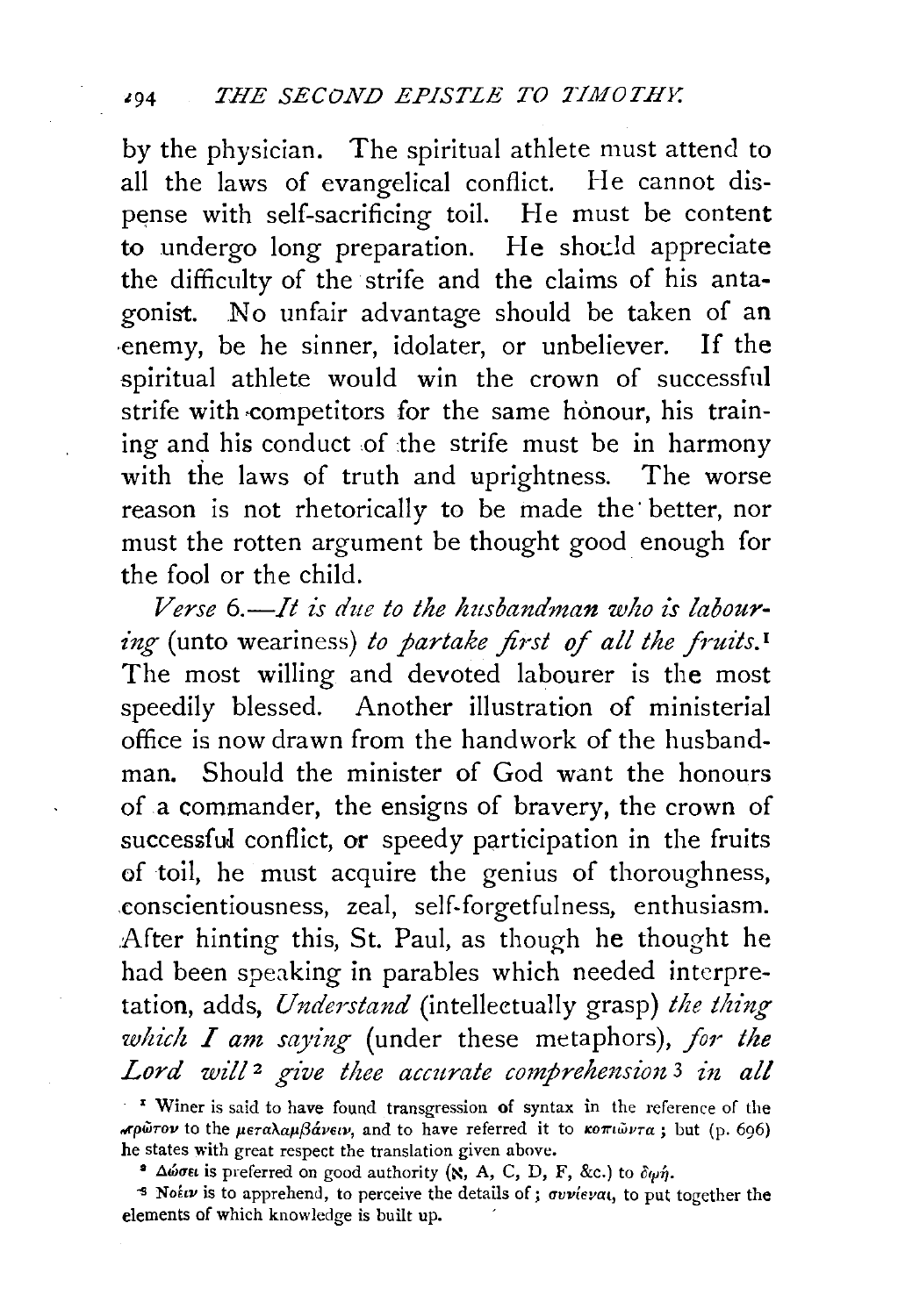by the physician. The spiritual athlete must attend to all the laws of evangelical conflict. He cannot dispense with self-sacrificing toil. He must be content to undergo long preparation. He should appreciate the difficulty of the strife and the claims of his antagonist. No unfair advantage should be taken of an ·enemy, be he sinner, idolater, or unbeliever. If the spiritual athlete would win the crown of successful strife with competitors for the same honour, his training and his conduct of the strife must be in harmony with the laws of truth and uprightness. The worse reason is not rhetorically to be made the better, nor must the rotten argument be thought good enough for the fool or the child.

*Verse 6.-It is due to the husbandman who is labour ing* (unto weariness) to partake first of all the fruits.<sup>1</sup> The most willing and devoted labourer is the most speedily blessed. Another illustration of ministerial office is now drawn from the handwork of the husbandman. Should the minister of God want the honours of a commander, the ensigns of bravery, the crown of successful conflict, or speedy participation in the fruits of toil, he must acquire the genius of thoroughness, .conscientiousness, zeal, self-forgetfulness, enthusiasm. After hinting this, St. Paul, as though he thought he had been speaking in parables which needed interpretation, adds, *Understand* (intelleetually grasp) *the thing which I am saying* (under these metaphors), for the Lord will<sup>2</sup> give thee accurate comprehension<sup>3</sup> in all

<sup>&</sup>lt;sup>1</sup> Winer is said to have found transgression of syntax in the reference of the  $\pi \rho \tilde{\omega}$ τον to the *μεταλαμβάνειν*, and to have referred it to *κοπιώντα*; but (p. 696) he states with great respect the translation given above.

 $\bullet$   $\Delta\omega\sigma\epsilon\iota$  is preferred on good authority (N, A, C, D, F, &c.) to  $\delta\omega\eta$ .

<sup>-</sup>s *Nohv* is to apprehend, to perceive the details of; *rrvvicvat,* to put together the elements of which knowledge is built up.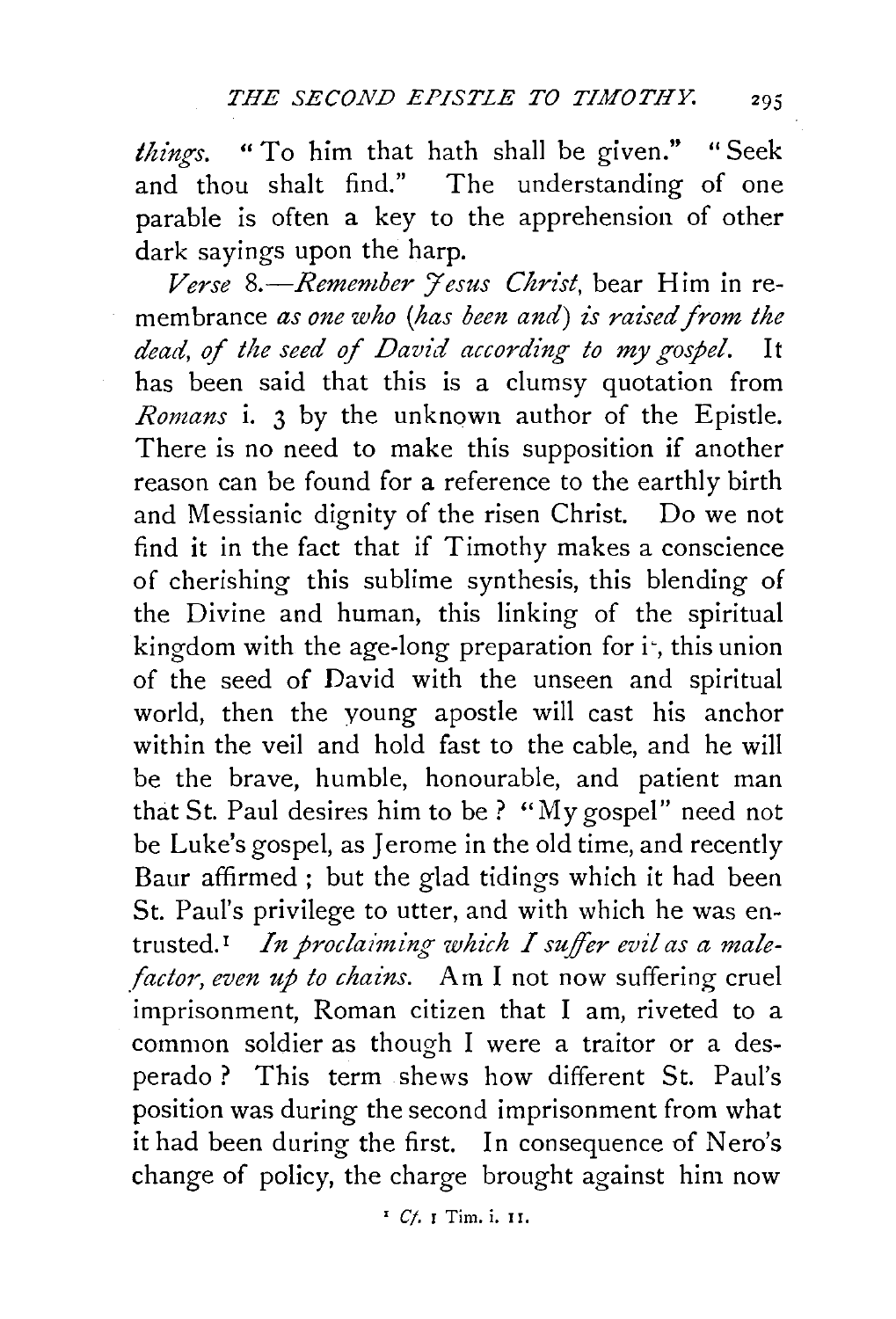*things.* "To him that bath shall be given." "Seek and thou shalt find." The understanding of one parable is often a key to the apprehension of other dark sayings upon the harp.

Verse 8.-Remember *Jesus Christ*, bear Him in remembrance *as one who (has been and) is raised from the dead, of the seed of David according to my gospel.* It has been said that this is a clumsy quotation from *Romans* i. 3 by the unknown author of the Epistle. There is no need to make this supposition if another reason can be found for a reference to the earthly birth and Messianic dignity of the risen Christ. Do we not find it in the fact that if Timothy makes a conscience of cherishing this sublime synthesis, this blending of the Divine and human, this linking of the spiritual kingdom with the age-long preparation for  $i^*$ , this union of the seed of David with the unseen and spiritual world, then the young apostle will cast his anchor within the veil and hold fast to the cable, and he will be the brave, humble, honourable, and patient man that St. Paul desires him to be ? "My gospel" need not be Luke's gospel, as Jerome in the old time, and recently Baur affirmed ; but the glad tidings which it had been St. Paul's privilege to utter, and with which he was entrusted.<sup>1</sup> In proclaiming which I suffer evil as a male*factor, even up to chains.* Am I not now suffering cruel imprisonment, Roman citizen that I am, riveted to a common soldier as though I were a traitor or a desperado ? This term shews how different St. Paul's position was during the second imprisonment from what it had been during the first. In consequence of Nero's change of policy, the charge brought against him now

' *Cj.* r Tim. i. II.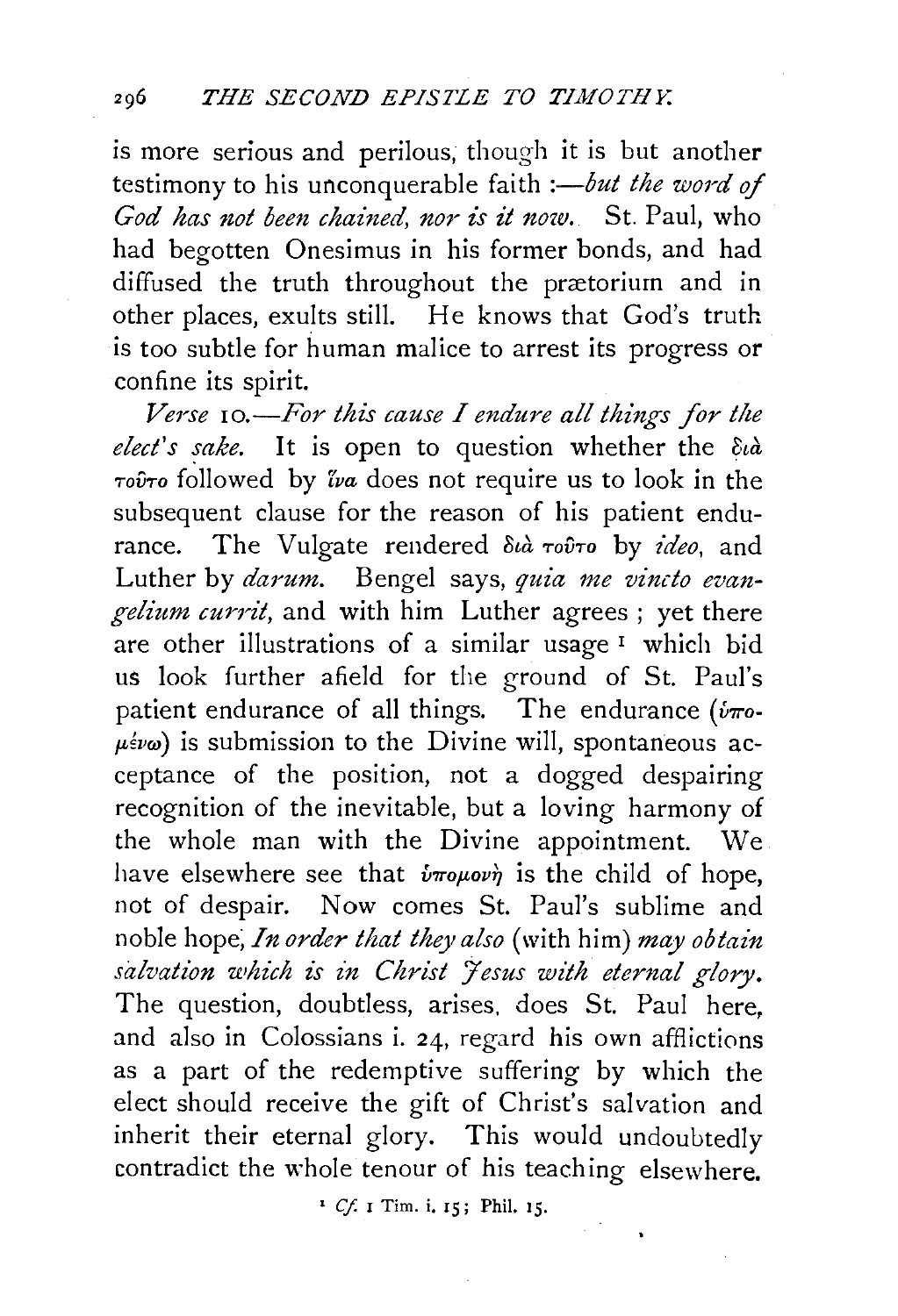is more serious and perilous, though it is but another testimony to his unconquerable faith *:- but the word of* God has not been chained, nor is it now. St. Paul, who had begotten Onesimus in his former bonds, and had diffused the truth throughout the prætorium and in other places, exults still. He knows that God's truth is too subtle for human malice to arrest its progress or confine its spirit.

Verse 10.-For this cause I endure all things for the *elect's sake*. It is open to question whether the  $\partial_t \hat{a}$  rov-ro followed by *Zva* does not require us to look in the subsequent clause for the reason of his patient endurance. The Vulgate rendered  $\delta t \hat{a}$  rov<sup>1</sup> by *ideo*, and Luther by *darum*. Bengel says, quia me vincto evan*gelium currit,* and with him Luther agrees ; yet there are other illustrations of a similar usage  $I$  which bid us look further afield for the ground of St. Paul's patient endurance of all things. The endurance ( $\dot{v}$ *ro*- $\mu \xi \nu \omega$ ) is submission to the Divine will, spontaneous acceptance of the position, not a dogged despairing recognition of the inevitable, but a loving harmony of the whole man with the Divine appointment. We have elsewhere see that  $\hat{v}$ *roµovn* is the child of hope, not of despair. Now comes St. Paul's sublime and noble hope; *In order that they also* (with him) *may obtain*  salvation which is in Christ Jesus with eternal glory. The question, doubtless, arises. does St. Paul here, and also in Colossians i. 24, regard his own afflictions as a part of the redemptive suffering by which the elect should receive the gift of Christ's salvation and inherit their eternal glory. This would undoubtedly contradict the whole tenour of his teaching elsewhere.

<sup>1</sup>*Cf.* I Tim. i. 15; Phi!. 15.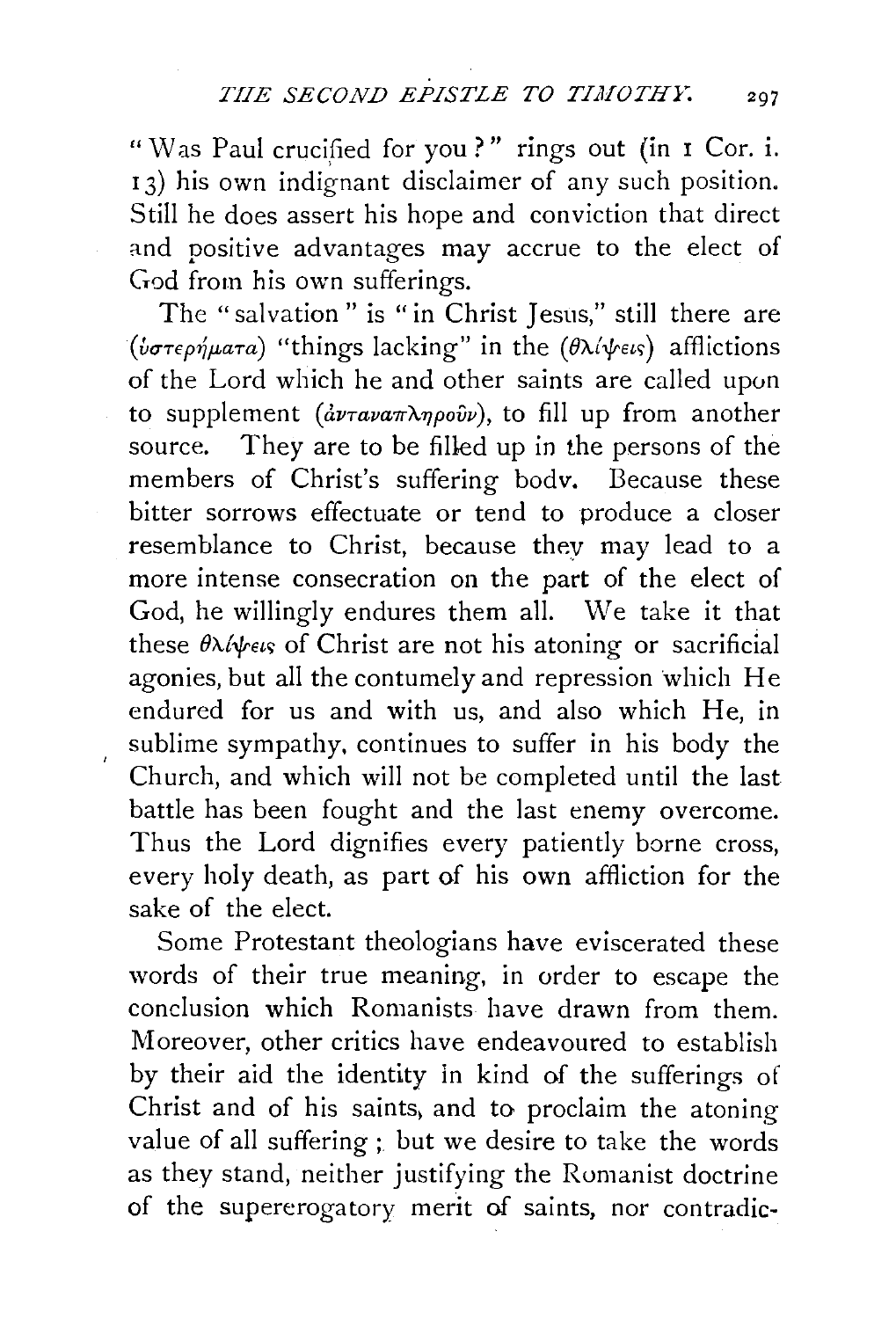"Was Paul crucified for you?" rings out (in I Cor. i. 13) his own indignant disclaimer of any such position. Still he does assert his hope and conviction that direct and positive advantages may accrue to the elect of God from his own sufferings.

The "salvation " is "in Christ Jesus," still there are (*υστερήματα*) "things lacking" in the *(θλίψεις)* afflictions of the Lord which he and other saints are called upon to supplement *(ανταναπληρούν)*, to fill up from another source. They are to be filled up in the persons of the members of Christ's suffering bodv. Because these bitter sorrows effectuate or tend to produce a closer resemblance to Christ, because they may lead to a more intense consecration on the part of the elect of God, he willingly endures them all. We take it that these  $\theta \lambda/\psi_{\text{eV}}$  of Christ are not his atoning or sacrificial agonies, but all the contumely and repression which He endured for us and with us, and also which He, in sublime sympathy. continues to suffer in his body the Church, and which will not be completed until the last battle has been fought and the last enemy overcome. Thus the Lord dignifies every patiently borne cross, every holy death, as part of his own affliction for the sake of the elect.

Some Protestant theologians have eviscerated these words of their true meaning, in order to escape the conclusion which Romanists have drawn from them. Moreover, other critics have endeavoured to establish by their aid the identity in kind of the sufferings of Christ and of his saints, and to proclaim the atoning value of all suffering ; but we desire to take the words as they stand, neither justifying the Romanist doctrine of the supererogatory merit of saints, nor contradic·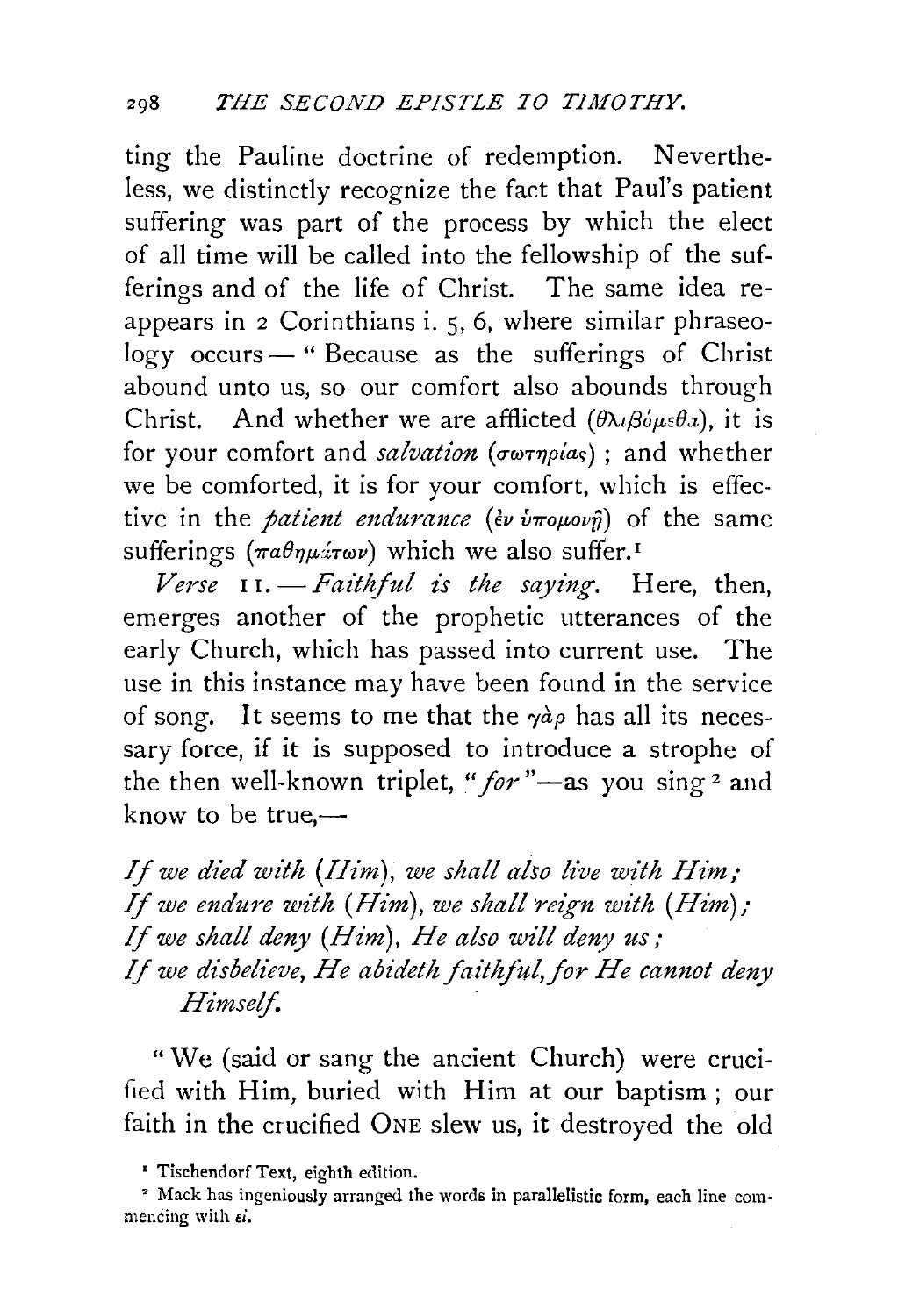ting the Pauline doctrine of redemption. Nevertheless, we distinctly recognize the fact that Paul's patient suffering was part of the process by which the elect of all time will be called into the fellowship of the sufferings and of the life of Christ. The same idea reappears in 2 Corinthians i. 5, 6, where similar phraseology occurs - " Because as the sufferings of Christ abound unto us, so our comfort also abounds through Christ. And whether we are afflicted  $(\theta \lambda_i \beta_i \theta_i \theta_i)$ , it is for your comfort and *salvation* (σωτηρίας); and whether we be comforted, it is for your comfort, which is effective in the *patient endurance* (*εν ύπομονη*) of the same sufferings  $(\pi a \theta \eta \mu \dot{x} \omega \nu)$  which we also suffer.<sup>1</sup>

*Verse* I r. *-Faithful z's the saying.* Here, then, emerges another of the prophetic utterances of the early Church, which has passed into current use. The use in this instance may have been found in the service of song. It seems to me that the  $\gamma a \rho$  has all its necessary force, if it is supposed to introduce a strophe of the then well-known triplet, "*for*"-as you sing 2 and know to be  $true$ .

*If we died with (Him), we shall also live with Him;* If *we endure with (Him), we shall 'reign with (Him);*  If *we shall deny (Him), He also will deny us,- If we disbelieve, He abideth faithful, for He cannot deny Himself.* 

"We (said or sang the ancient Church) were crucified with Him, buried with Him at our baptism; our faith in the crucified ONE slew us, it destroyed the old

<sup>•</sup> Tischendorf Text, eighth edition.

<sup>&</sup>lt;sup>2</sup> Mack has ingeniously arranged the words in parallelistic form, each line commencing with  $\epsilon i$ .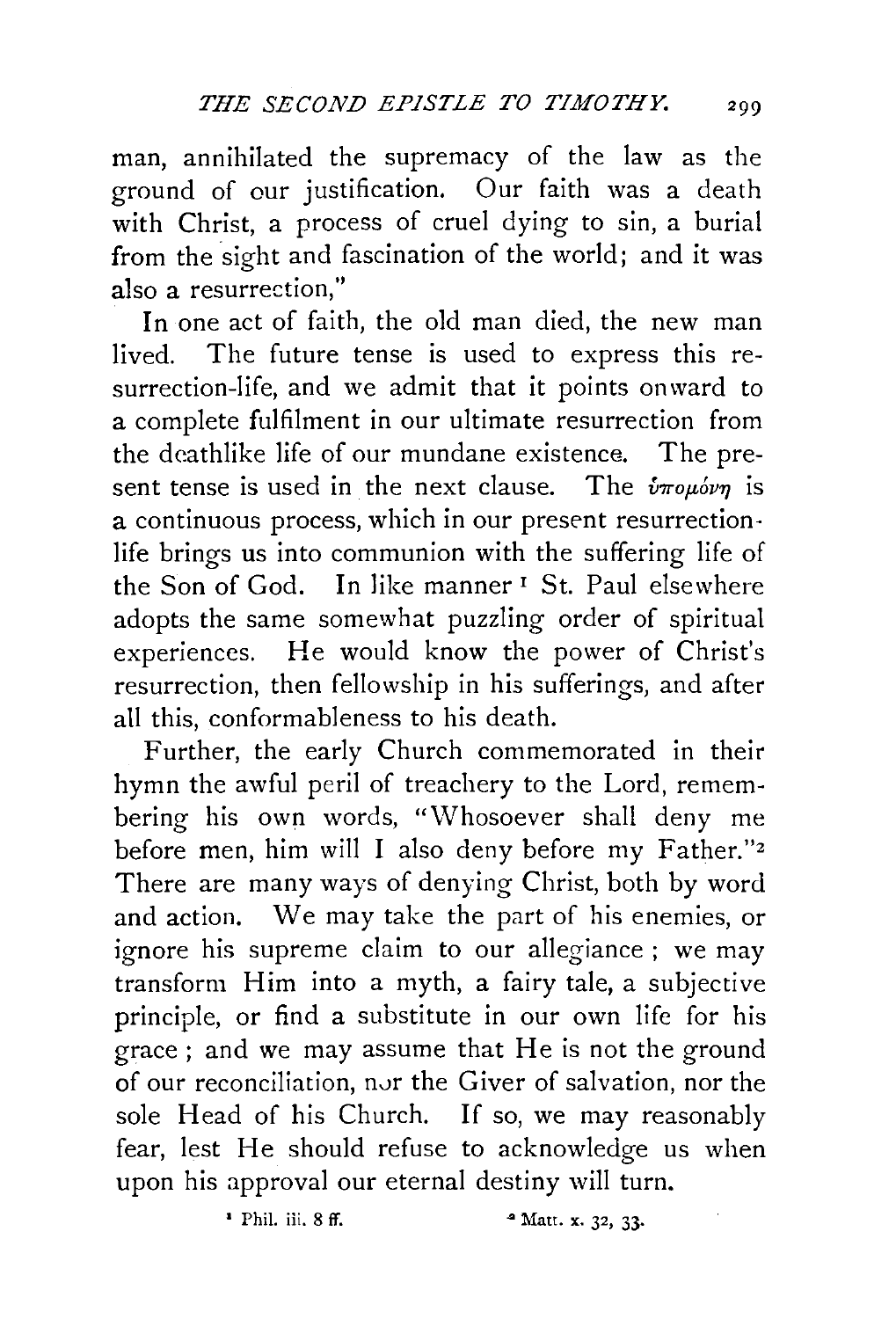man, annihilated the supremacy of the law as the ground of our justification. Our faith was a death with Christ, a process of cruel dying to sin, a burial from the sight and fascination of the world; and it was also a resurrection,''

In one act of faith, the old man died, the new man lived. The future tense is used to express this resurrection-life, and we admit that it points onward to a complete fulfilment in our ultimate resurrection from the deathlike life of our mundane existence. The present tense is used in the next clause. The  $\hat{v}_{\pi}$  *roubvn* is a continuous process, which in our present resurrectionlife brings us into communion with the suffering life of the Son of God. In like manner<sup>1</sup> St. Paul elsewhere adopts the same somewhat puzzling order of spiritual experiences. He would know the power of Christ's resurrection, then fellowship in his sufferings, and after all this, conformableness to his death.

Further, the early Church commemorated in their hymn the awful peril of treachery to the Lord, remembering his own words, "Whosoever shall deny me before men, him will I also deny before my Father."2 There are many ways of denying Christ, both by word and action. We may take the part of his enemies, or ignore his supreme claim to our allegiance ; we may transform Him into a myth, a fairy tale, a subjective principle, or find a substitute in our own life for his grace ; and we may assume that He is not the ground of our reconciliation, nvr the Giver of salvation, nor the sole Head of his Church. If so, we may reasonably fear, lest He should refuse to acknowledge us when upon his approval our eternal destiny will turn.

 $\bullet$  Phil. iii. 8 ff.  $\bullet$  Matt. x. 32, 33.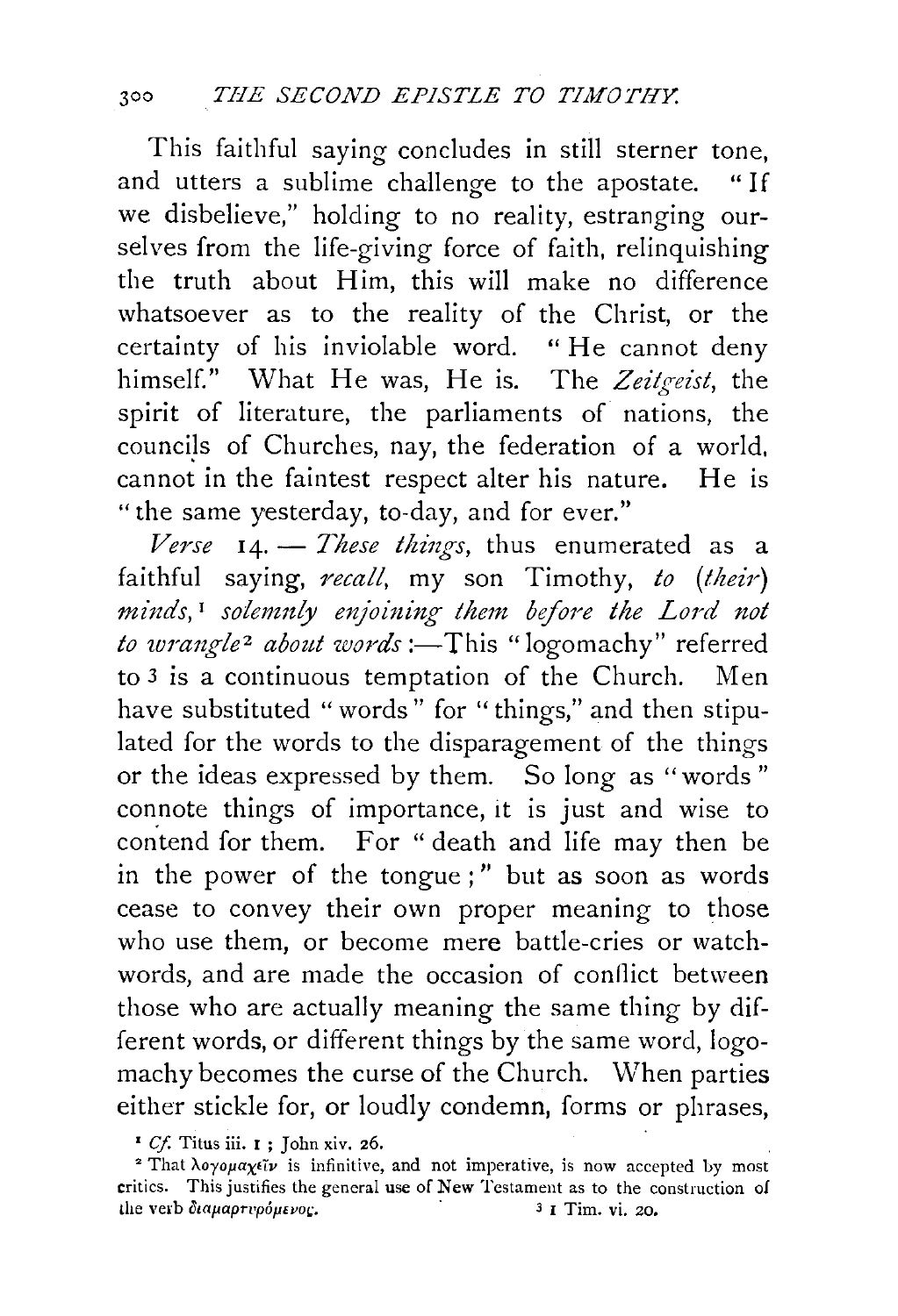This faithful saying concludes in still sterner tone, and utters a sublime challenge to the apostate. "If we disbelieve," holding to no reality, estranging ourselves from the life-giving force of faith, relinquishing the truth about Him, this will make no difference whatsoever as to the reality of the Christ, or the certainty of his inviolable word. " He cannot deny himself." What He was, He is. The *Zeitgeist,* the spirit of literature, the parliaments of nations, the councils of Churches, nay, the federation of a world, cannot in the faintest respect alter his nature. He is "the same yesterday, to-day, and for ever."

Verse 14. - *These things*, thus enumerated as a faithful saying, *ncall,* my son Timothy, *to (their) mittds,* 1 *solemnly enjoining them before the Lord not to wrangle<sup>2</sup> about words* :-This "logomachy" referred to 3 is a continuous temptation of the Church. Men have substituted "words" for "things," and then stipulated for the words to the disparagement of the things or the ideas expressed by them. So long as "words " connote things of importance, it is just and wise to contend for them. For " death and life may then be in the power of the tongue ; " but as soon as words cease to convey their own proper meaning to those who use them, or become mere battle-cries or watchwords, and are made the occasion of conflict between those who are actually meaning the same thing by different words, or different things by the same word, logomachy becomes the curse of the Church. When parties either stickle for, or loudly condemn, forms or phrases,

<sup>&#</sup>x27; *Cf.* Titus iii. I ; John xiv. *z6.* 

<sup>&</sup>lt;sup>2</sup> That λογομαχείν is infinitive, and not imperative, is now accepted by most critics. This justifies the general use of New Testament as to the construction of the verb διαμαρτυρόμενος. <sup>3</sup> 1 Tim. vi. 20.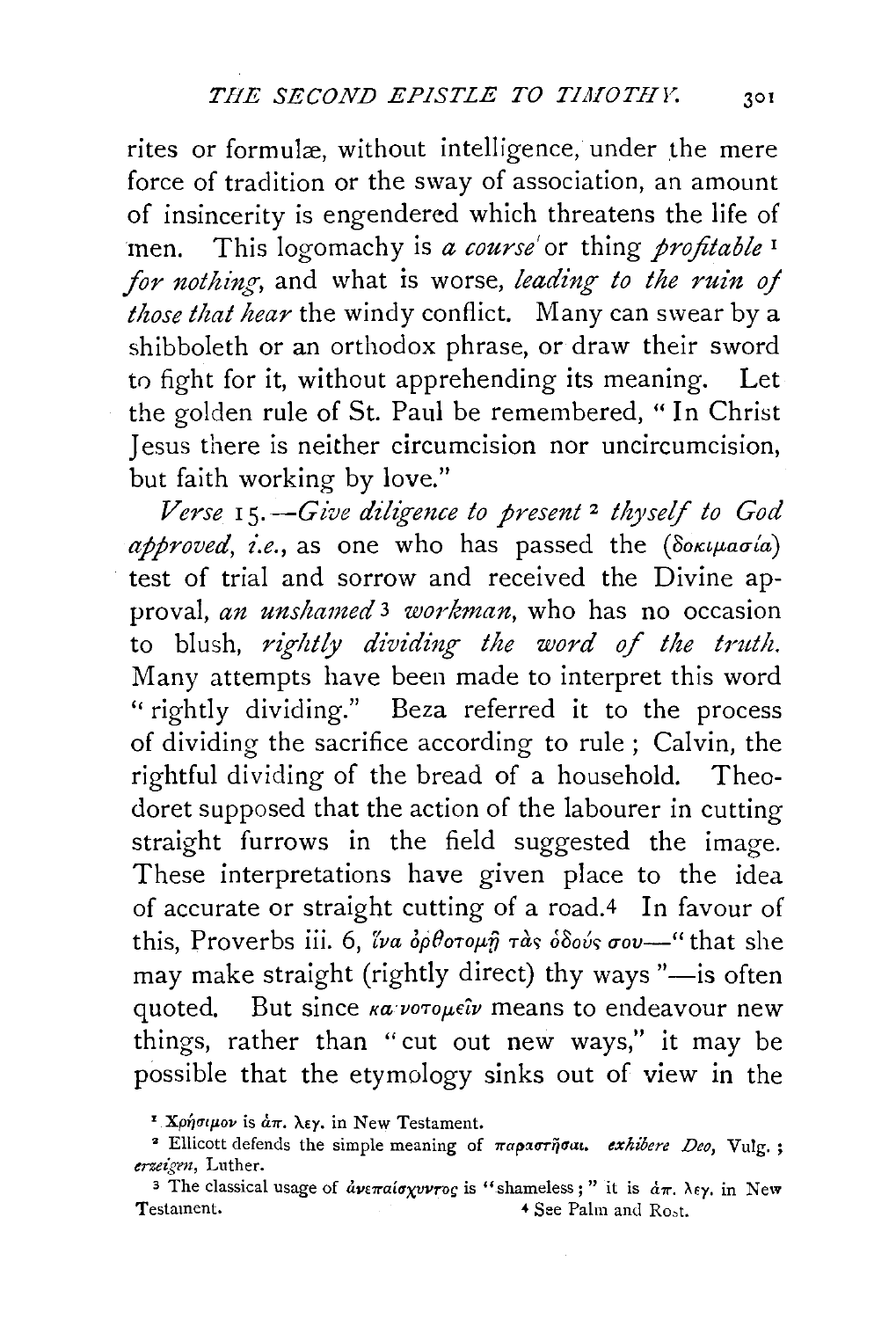rites or formulæ, without intelligence, under the mere force of tradition or the sway of association, an amount of insincerity is engendered which threatens the life of men. This logomachy is *a course'* or thing *profitable*<sup>1</sup> *for nothing*, and what is worse, *leading to the ruin of those that hear* the windy conflict. Many can swear by a shibboleth or an orthodox phrase, or draw their sword to fight for it, without apprehending its meaning. Let the golden rule of St. Paul be remembered, "In Christ Jesus there is neither circumcision nor uncircumcision, but faith working by love."

Verse 15. - Give diligence to present<sup>2</sup> thyself to God *approved, i.e.*, as one who has passed the *(δοκιμασία)* test of trial and sorrow and received the Divine approval, *an unshamed* 3 *workman,* who has no occasion to blush, *rightly dividing the word of the truth*. Many attempts have been made to interpret this word '' rightly dividing." Beza referred it to the process of dividing the sacrifice according to rule ; Calvin, the rightful dividing of the bread of a household. Theodoret supposed that the action of the labourer in cutting straight furrows in the field suggested the image. These interpretations have given place to the idea of accurate or straight cutting of a road.4 In favour of this, Proverbs iii. 6, *lva ορθοτομή τας όδούς σου*— " that she may make straight (rightly direct) thy ways "-is often quoted. But since *κα νοτομεΐν* means to endeavour new things, rather than "cut out new ways," it may be possible that the etymology sinks out of view in the

<sup>1</sup> Χρήσιμον is  $\dot{a}\pi$ . λεγ. in New Testament.

<sup>&</sup>lt;sup>2</sup> Ellicott defends the simple meaning of *παραστήσαι, exhibere Deo*, Vulg.; *erzeigen,* Luther.

<sup>&</sup>lt;sup>3</sup> The classical usage of  $d$ ve $\pi a$ io xvvroç is "shameless;" it is  $d\pi$ .  $\lambda$ ey. in New Testament. 4 See Palm and Rost.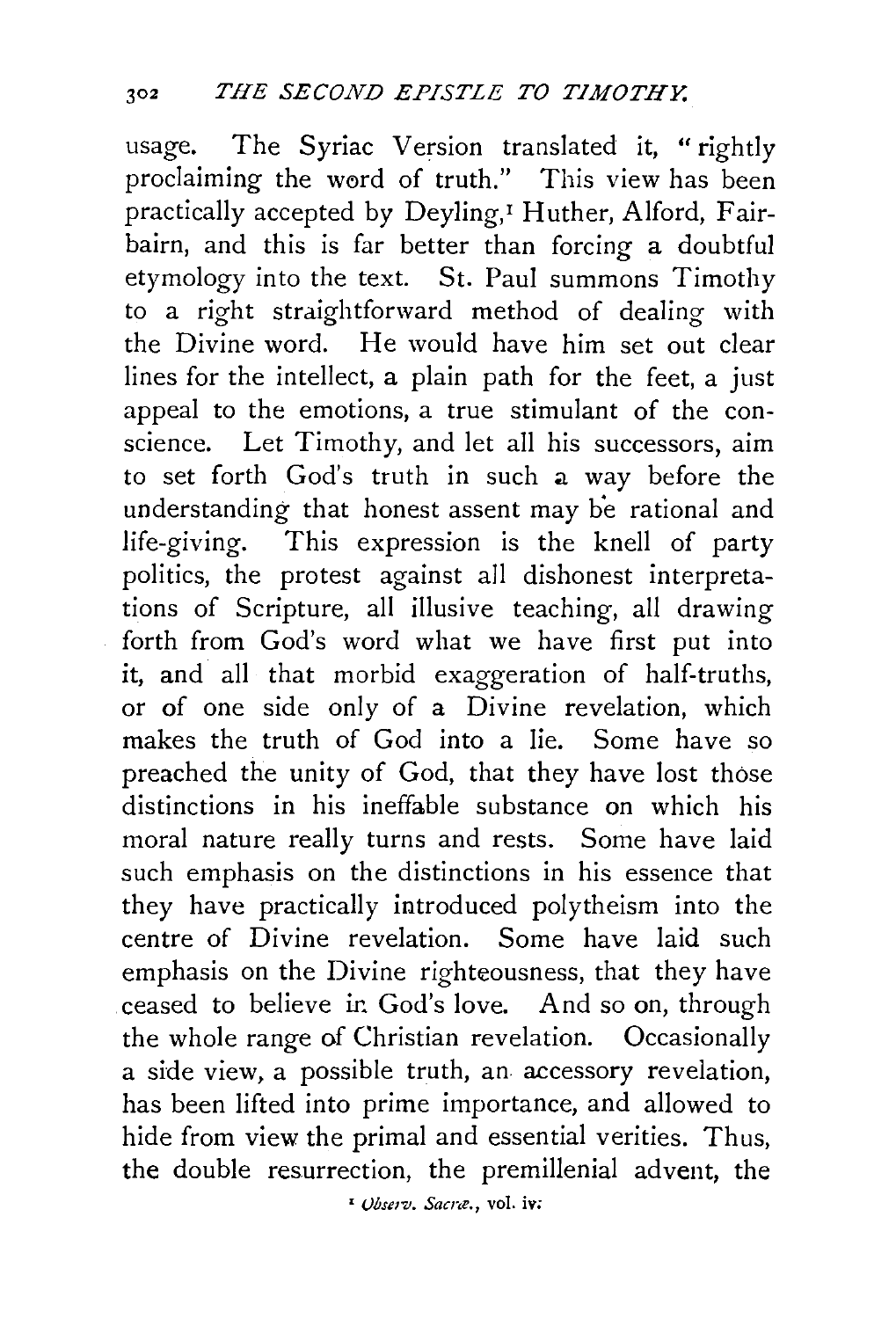usage. The Syriac Version translated it, "rightly proclaiming the word of truth." This view has been practically accepted by Deyling,<sup>I</sup> Huther, Alford, Fairbairn, and this is far better than forcing a doubtful etymology into the text. St. Paul summons Timothy to a right straightforward method of dealing with the Divine word. He would have him set out clear lines for the intellect, a plain path for the feet, a just appeal to the emotions, a true stimulant of the conscience. Let Timothy, and let all his successors, aim to set forth God's truth in such a way before the understanding that honest assent may be rational and life-giving. This expression is the knell of party politics, the protest against all dishonest interpretations of Scripture, all illusive teaching, all drawing forth from God's word what we have first put into it, and all that morbid exaggeration of half-truths, or of one side only of a Divine revelation, which makes the truth of God into a lie. Some have so preached the unity of God, that they have lost those distinctions in his ineffable substance on which his moral nature really turns and rests. Some have laid such emphasis on the distinctions in his essence that they have practically introduced polytheism into the centre of Divine revelation. Some have laid such emphasis on the Divine righteousness, that they have ceased to believe ir. God's love. And so on, through the whole range of Christian revelation. Occasionally a side view, a possible truth, an accessory revelation, has been lifted into prime importance, and allowed to hide from view the primal and essential verities. Thus, the double resurrection, the premillenial advent, the

' *Vbserv. Sacne.,* vol. iv;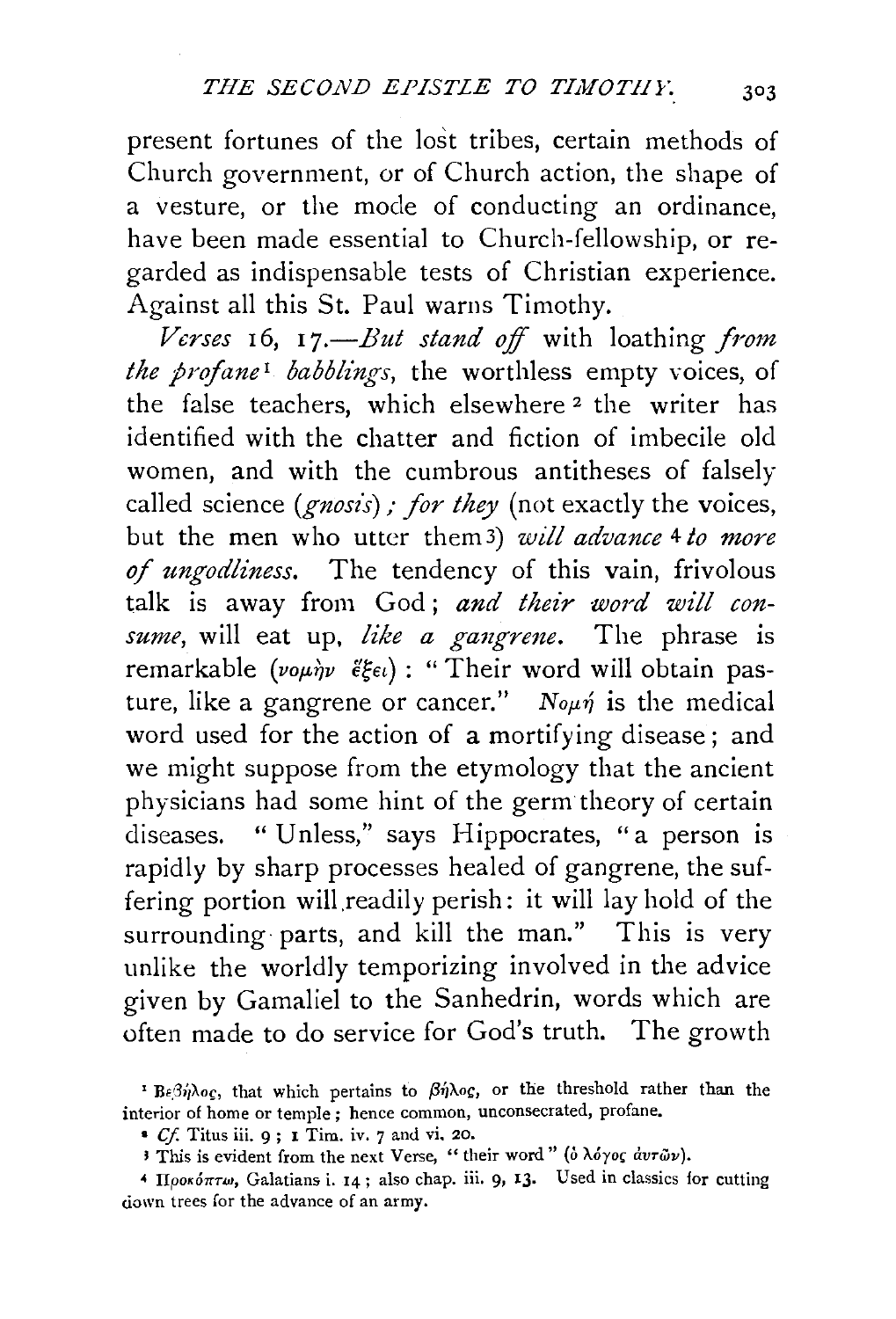present fortunes of the lost tribes, certain methods of Church government, or of Church action, the shape of a vesture, or the mode of conducting an ordinance, have been made essential to Church-fellowship, or regarded as indispensable tests of Christian experience. Against all this St. Paul warns Timothy.

*Verses* 16, *17.-But stand off* with loathing *from the profane<sup>1</sup> babblings*, the worthless empty voices, of the false teachers, which elsewhere 2 the writer has identified with the chatter and fiction of imbecile old women, and with the cumbrous antitheses of falsely called science *(gnosis)*; *for they* (not exactly the voices, but the men who utter them3) *will advance* 4 *to more of ungodliness.* The tendency of this vain, frivolous talk is away from God; and their word will con*sume*, will eat up, like a gangrene. The phrase is remarkable (vour)v  $\tilde{\epsilon} \xi \epsilon \iota$ ) : "Their word will obtain pasture, like a gangrene or cancer." No $\mu$  $\eta$  is the medical word used for the action of a mortifying disease; and we might suppose from the etymology that the ancient physicians had some hint of the germ theory of certain diseases. " Unless," says Hippocrates, "a person is rapidly by sharp processes healed of gangrene, the suffering portion will readily perish: it will lay hold of the surrounding parts, and kill the man." This is very unlike the worldly temporizing involved in the advice given by Gamaliel to the Sanhedrin, words which are often made to do service for God's truth. The growth

<sup>&</sup>lt;sup>1</sup> Βεβήλος, that which pertains to βήλος, or the threshold rather than the interior of home or temple ; hence common, unconsecrated, profane.

<sup>•</sup> *C.f.* Titus iii. 9 ; 1 Tiro. iv. 7 and vi. 20.

If This is evident from the next Verse, "their word" ( $\delta \lambda \delta \gamma o \zeta \, dv \tau \bar{\omega} \nu$ ).

<sup>&</sup>lt;sup>4</sup> *IIpos όπτω*, Galatians i. 14; also chap. iii. 9, 13. Used in classics for cutting down trees for the advance of an army.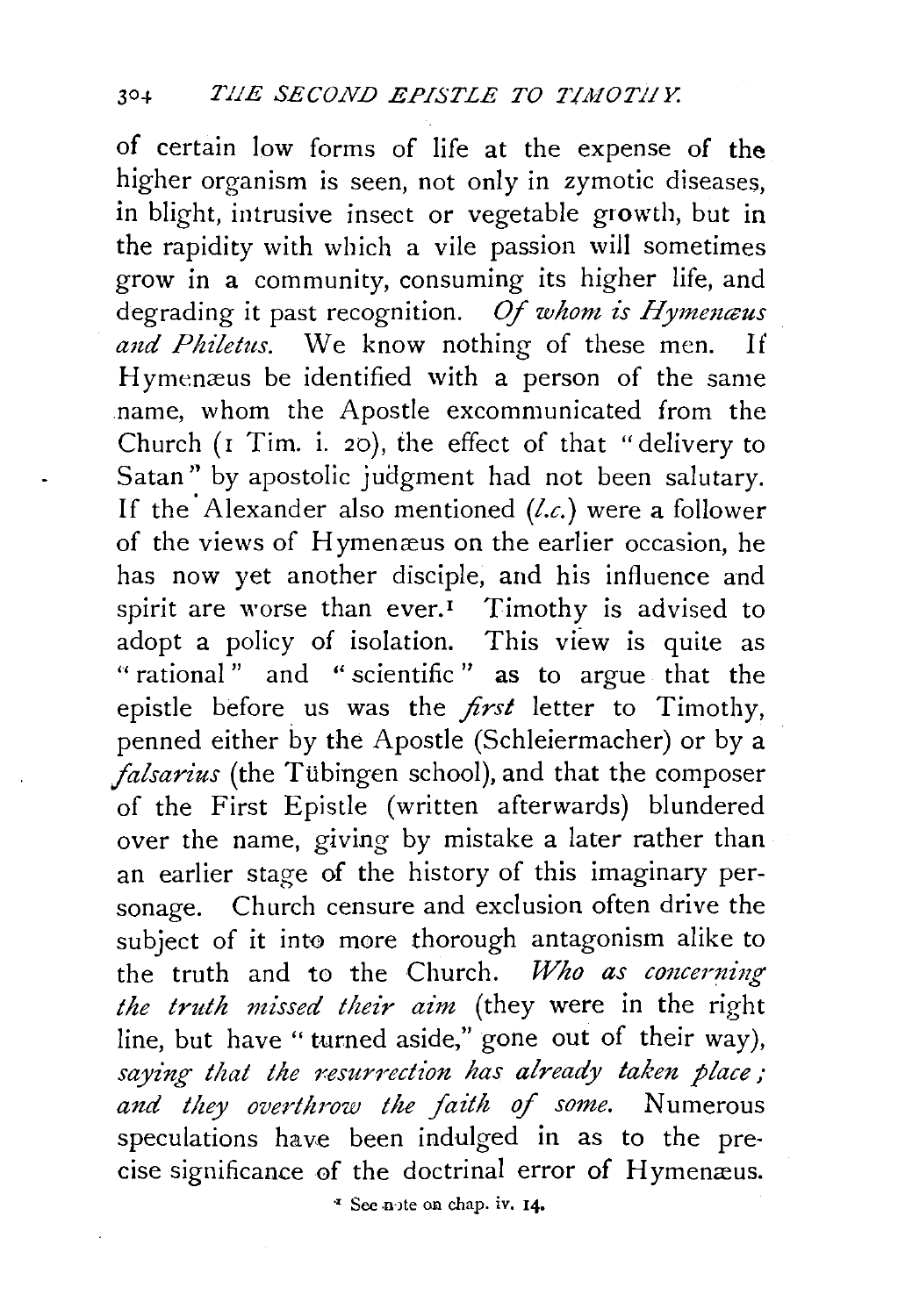of certain low forms of life at the expense of **the**  higher organism is seen, not only in zymotic diseases, in blight, intrusive insect or vegetable growth, but in the rapidity with which a vile passion will sometimes grow in a community, consuming its higher life, and degrading it past recognition. *Of whom is Hymemcus and Philetus.* We know nothing of these men. If Hymenæus be identified with a person of the same name, w horn the Apostle excommunicated from the Church ( $\bar{r}$  Tim. i. 20), the effect of that "delivery to Satan" by apostolic judgment had not been salutary. If the' Alexander also mentioned *(l.c.)* were a follower of the views of Hymenæus on the earlier occasion, he has now yet another disciple, and his influence and spirit are worse than ever.<sup> $I$ </sup> Timothy is advised to adopt a policy of isolation. This view is quite as " rational" and " scientific" as to argue that the epistle before us was the *first* letter to Timothy, penned either by the Apostle (Schleiermacher) or by a *falsarius* (the Tübingen school), and that the composer of the First Epistle (written afterwards) blundered over the name, giving by mistake a later rather than an earlier stage of the history of this imaginary personage. Church censure and exclusion often drive the subiect of it into more thorough antagonism alike to the truth and to the Church. *Who as concerning the truth missed their aim* (they were in the right line, but have "turned aside," gone out of their way), saying that the resurrection has already taken place; *and they overthrow the \_faith* of *some.* Numerous speculations have been indulged in as to the precise significance of the doctrinal error of Hymenæus.

~ See .n·Jte on chap. iv. 14,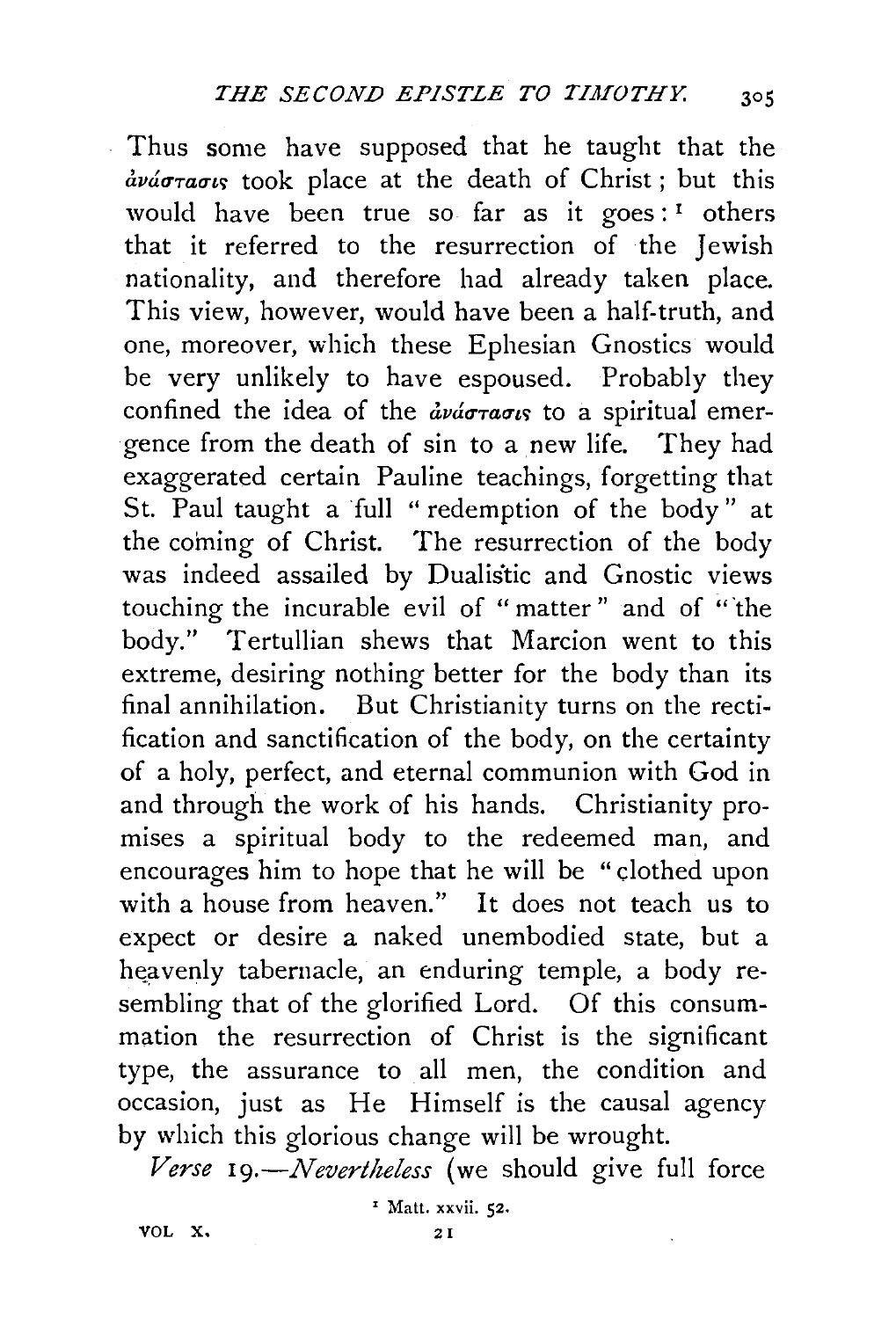Thus some have supposed that he taught that the  $\frac{d}{dx}$  avá $\sigma$  rass took place at the death of Christ; but this would have been true so far as it goes:<sup>1</sup> others that it referred to the resurrection of the Jewish nationality, and therefore had already taken place. This view, however, would have been a half-truth, and one, moreover, which these Ephesian Gnostics would be very unlikely to have espoused. Probably they confined the idea of the  $\frac{dy}{dx}a\sigma_{x}\sigma_{x}$  to a spiritual emergence from the death of sin to a new life. They had exaggerated certain Pauline teachings, forgetting that St. Paul taught a full " redemption of the body" at the coming of Christ. The resurrection of the body was indeed assailed by Dualistic and Gnostic views touching the incurable evil of " matter " and of "'the body." Tertullian shews that Marcion went to this extreme, desiring nothing better for the body than its final annihilation. But Christianity turns on the rectification and sanctification of the body, on the certainty of a holy, perfect, and eternal communion with God in and through the work of his hands. Christianity promises a spiritual body to the redeemed man, and encourages him to hope that he will be " clothed upon with a house from heaven." It does not teach us to expect or desire a naked unembodied state, but a heavenly tabernacle, an enduring temple, a body resembling that of the glorified Lord. Of this consummation the resurrection of Christ is the significant type, the assurance to all men, the condition and occasion, just as He Himself is the causal agency by which this glorious change will be wrought.

*Verse 19.-Nevertheless* (we should give full force

' Matt. xxvii. 52.

VOL X.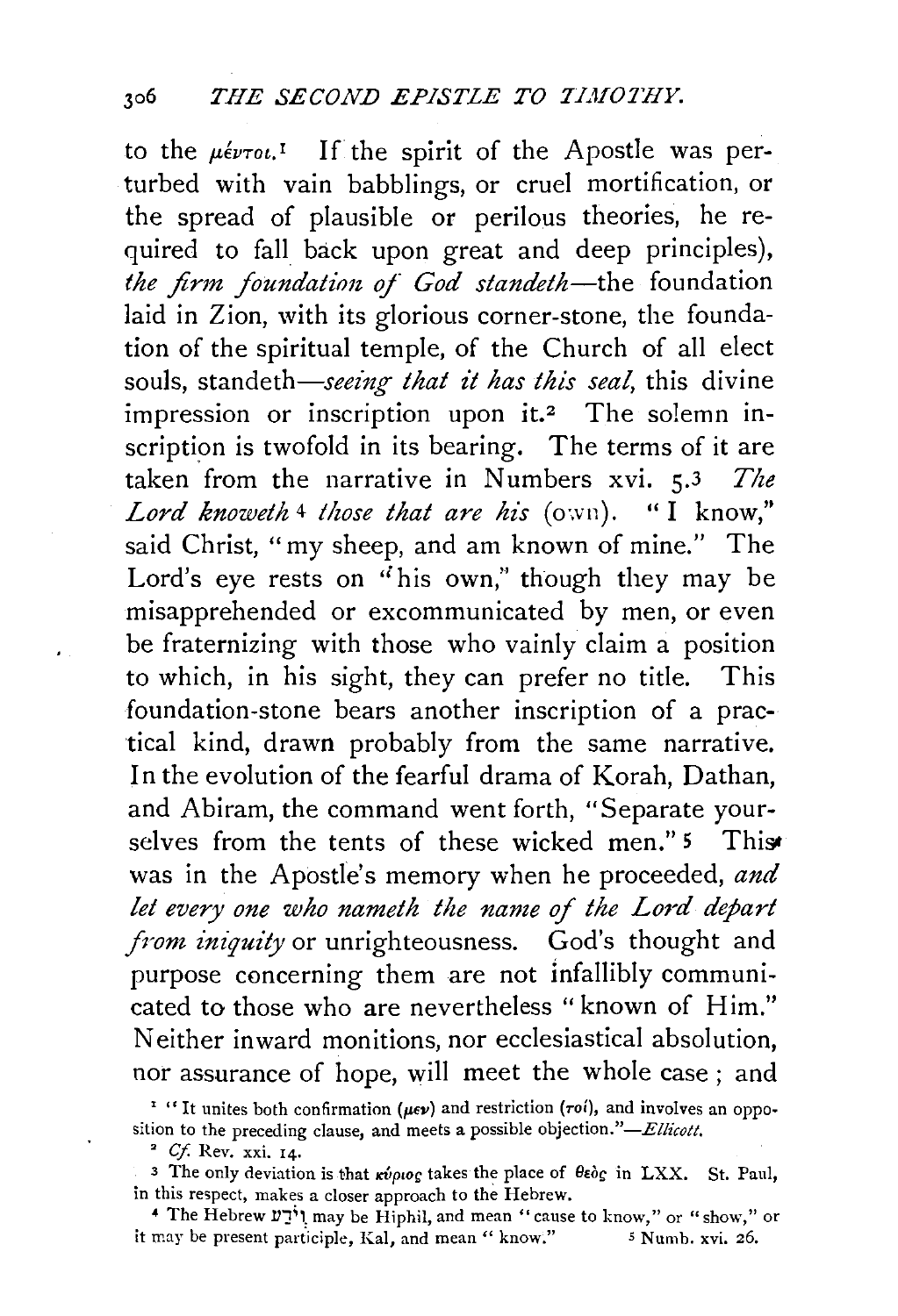to the μέντοι.<sup>1</sup> If the spirit of the Apostle was perturbed with vain babblings, or cruel mortification, or the spread of plausible or perilous theories, he required to fall back upon great and deep principles), *the firm. foundatirm of God standeth-the* foundation laid in Zion, with its glorious corner-stone, the foundation of the spiritual temple, of the Church of all elect souls, standeth—seeing that it has this seal, this divine impression or inscription upon  $it.2$  The solemn inscription is twofold in its bearing. The terms of it are taken from the narrative in Numbers xvi. 5.3 *The Lord knoweth* 4 *those that are his* (own). "I know," said Christ, "my sheep, and am known of mine." The Lord's eye rests on "his own," though they may be misapprehended or excommunicated by men, or even be fraternizing with those who vainly claim a position to which, in his sight, they can prefer no title. This foundation-stone bears another inscription of a practical kind, drawn probably from the same narrative. In the evolution of the fearful drama of Korah, Dathan, and Abiram, the command went forth, "Separate yourselves from the tents of these wicked men." 5 This was in the Apostle's memory when he proceeded, *and let every one who nameth the name of the Lord depart from iniquity* or unrighteousness. God's thought and purpose concerning them are not infallibly communicated to those who are nevertheless "known of Him." Neither inward monitions, nor ecclesiastical absolution, nor assurance of hope, will meet the whole case ; and

<sup>2</sup> Cf. Rev. xxi. 14.

 $\lambda$ 

it may be present participle, Kal, and mean " know." 5 Numb. xvi. 26.

<sup>&</sup>lt;sup>1</sup> "It unites both confirmation ( $\mu\epsilon\nu$ ) and restriction ( $\tau\delta$ ), and involves an opposition to the preceding clause, and meets a possible *objection."-Ellicott.* 

<sup>3</sup> The only deviation is that  $\kappa \psi \rho \omega \rho$  takes the place of  $\theta \epsilon \delta \rho$  in LXX. St. Paul, in this respect, makes a closer approach to the Hebrew.<br> **4 The Hebrew V'** I; may be Hiphil, and mean " cause to know," or " show," or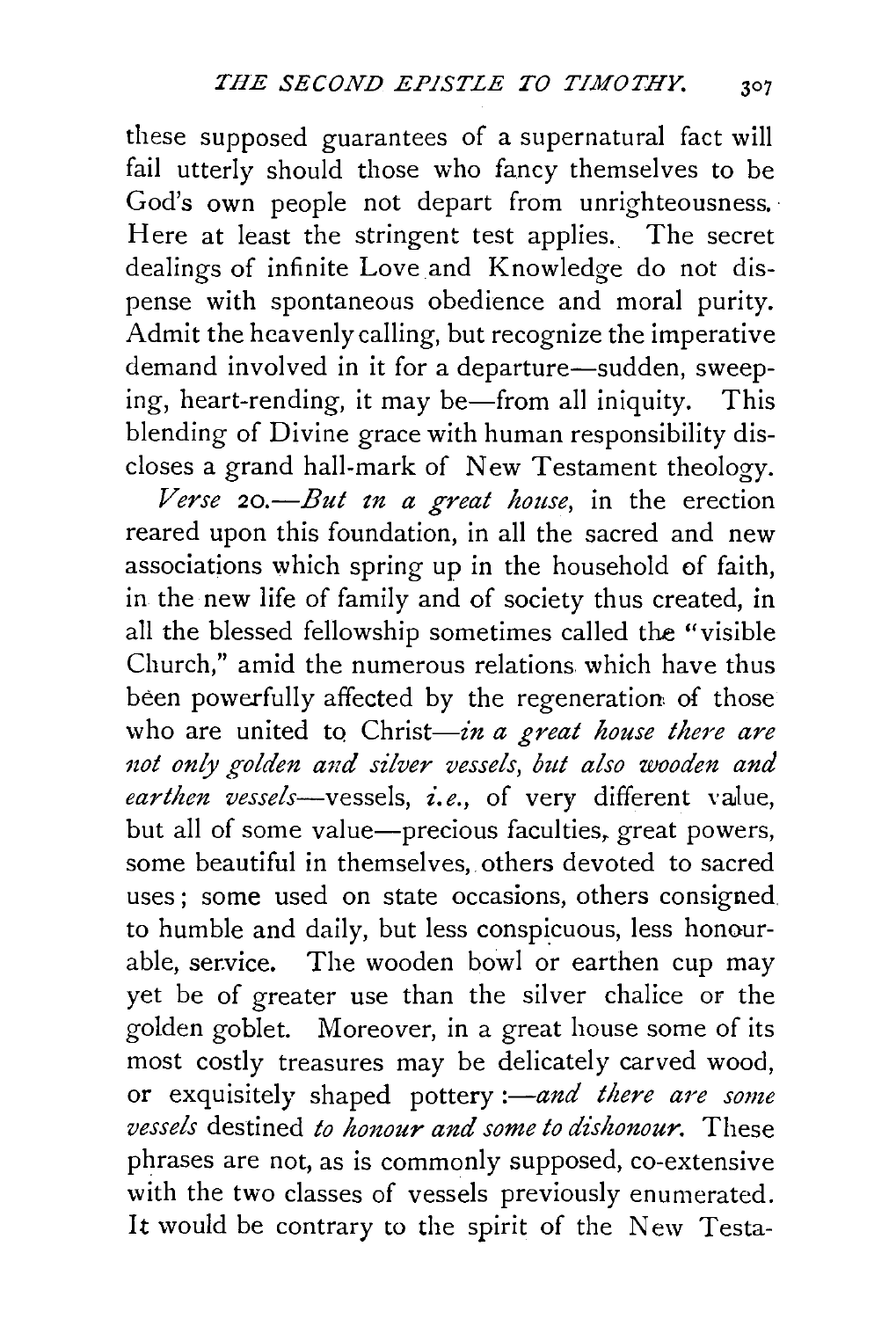these supposed guarantees of a supernatural fact will fail utterly should those who fancy themselves to be God's own people not depart from unrighteousness. Here at least the stringent test applies. The secret dealings of infinite Love and Knowledge do not dispense with spontaneous obedience and moral purity. Admit the heavenly calling, but recognize the imperative demand involved in it for a departure-sudden, sweeping, heart-rending, it may be—from all iniquity. This blending of Divine grace with human responsibility discloses a grand hall-mark of New Testament theology.

*Verse 20.-But tn a great house,* in the erection reared upon this foundation, in all the sacred and new associations which spring up in the household of faith, in the new life of family and of society thus created, in all the blessed fellowship sometimes called the "visible Church," amid the numerous relations which have thus been powerfully affected by the regeneration of those who are united to Christ-*in a great house there are* not only golden and silver vessels, but also wooden and *earthen vessels-vessels, £.e.,* of very different value, but all of some value—precious faculties, great powers, some beautiful in themselves, others devoted to sacred uses ; some used on state occasions, others consigned. to humble and daily, but less conspicuous, less honourable, service. The wooden bowl or earthen cup may yet be of greater use than the silver chalice or the golden goblet. Moreover, in a great house some of its most costly treasures may be delicately carved wood, or exquisitely shaped pottery *:- and there are some vessels* destined *to honour and some to dishonour.* These phrases are not, as is commonly supposed, co-extensive with the two classes of vessels previously enumerated. It would be contrary to the spirit of the New Testa-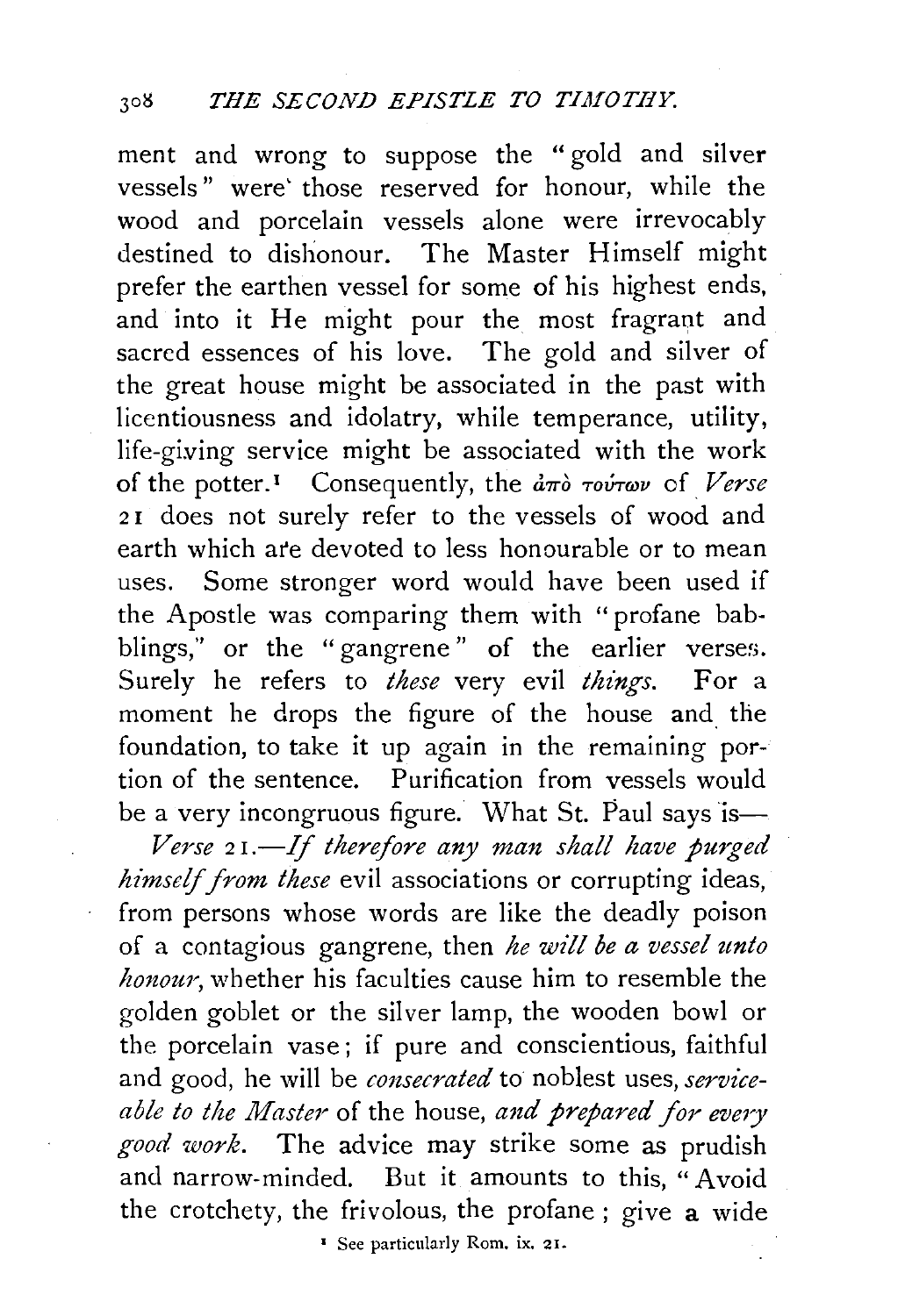ment and wrong to suppose the "gold and silver vessels" were' those reserved for honour, while the wood and porcelain vessels alone were irrevocably destined to dishonour. The Master Himself might prefer the earthen vessel for some of his highest ends, and into it He might pour the most fragrant and sacred essences of his love. The gold and silver of the great house might be associated in the past with licentiousness and idolatry, while temperance, utility, life-giving service might be associated with the work of the potter.<sup>1</sup> Consequently, the *από τούτων* of *Verse* 21 does not surely refer to the vessels of wood and earth which ar'e devoted to less honourable or to mean uses. Some stronger word would have been used if the Apostle was comparing them with "profane babblings," or the "gangrene" of the earlier verses. Surely he refers to *these* very evil *things*. For a moment he drops the figure of the house and the foundation, to take it up again in the remaining portion of the sentence. Purification from vessels would be a very incongruous figure. What St. Paul says  $is-$ 

*Verse* 2 *I.-If therefore any man shall have purged himself from these* evil associations or corrupting ideas, from persons whose words are like the deadly poison of a contagious gangrene, then *he will be a vessel unto honour,* whether his faculties cause him to resemble the golden goblet or the silver lamp, the wooden bowl or the porcelain vase; if pure and conscientious, faithful and good, he will be *consecrated* to noblest uses, *serviceable to the Master* of the house, *and prepared for every good work.* The advice may strike some as prudish and narrow-minded. But it amounts to this, "Avoid the crotchety, the frivolous, the profane ; give a wide

' See particularly Rom. ix. 21.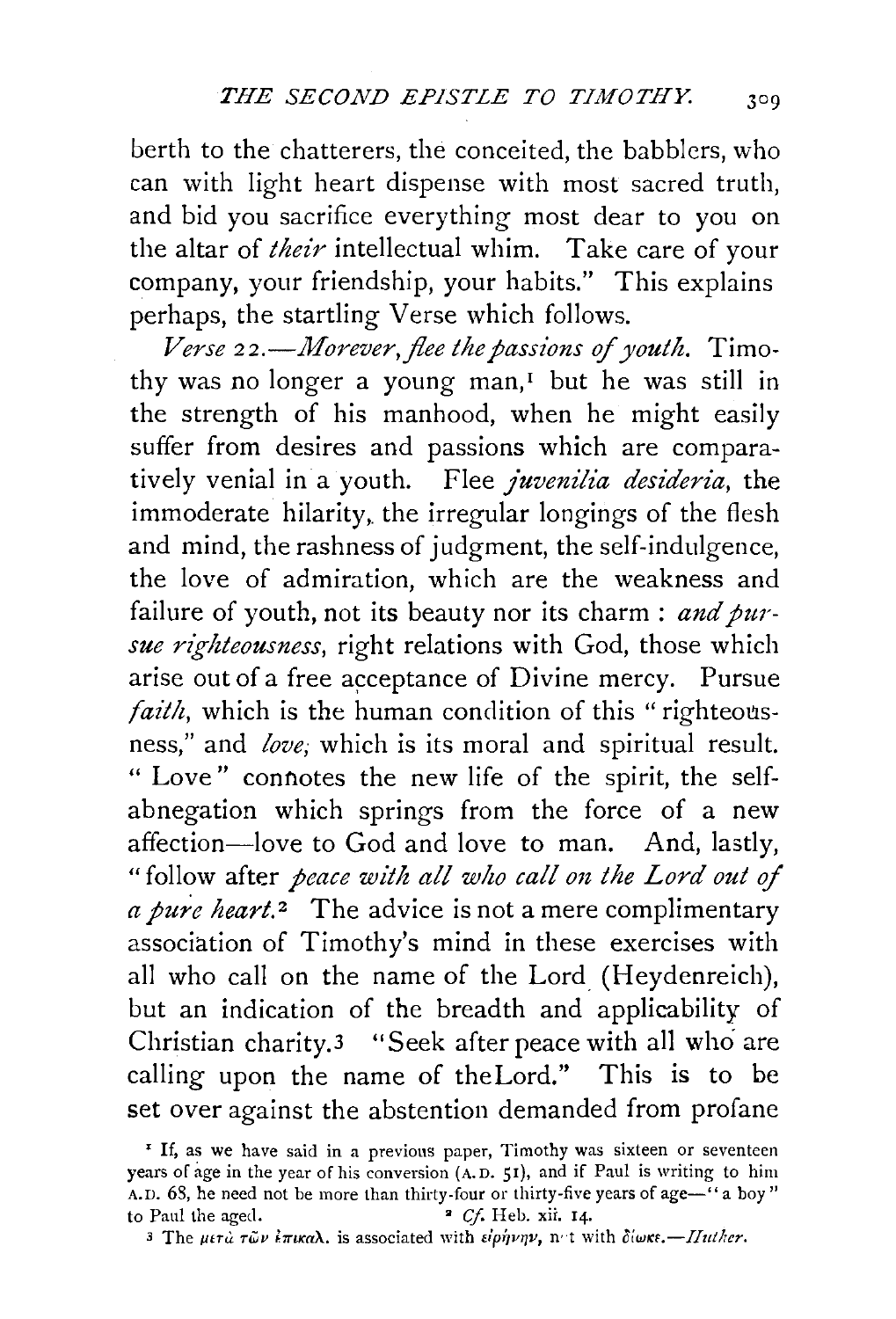berth to the chatterers, the conceited, the babblers, who can with light heart dispense with most sacred truth, and bid you sacrifice everything most dear to you on the altar of *their* intellectual whim. Take care of your company, your friendship, your habits." This explains perhaps, the startling Verse which follows.

*Verse* 22.—Morever, flee the passions of youth. Timothy was no longer a young man, $<sup>I</sup>$  but he was still in</sup> the strength of his manhood, when he might easily suffer from desires and passions which are comparatively venial in a youth. Flee *juvenilia desideria,* the immoderate hilarity, the irregular longings of the flesh and mind, the rashness of judgment, the self-indulgence, the love of admiration, which are the weakness and failure of youth, not its beauty nor its charm : *and pursue righteousness,* right relations with God, those which arise out of a free acceptance of Divine mercy. Pursue *faith*, which is the human condition of this "righteousness," and *love;* which is its moral and spiritual result. " Love " connotes the new life of the spirit, the selfabnegation which springs from the force of a new affection-love to God and love to man. And, lastly, " follow after *peace with all who call on the Lord out of a pure heart.*<sup>2</sup> The advice is not a mere complimentary association of Timothy's mind in these exercises with all who call on the name of the Lord (Heydenreich), but an indication of the breadth and applicability of Christian charity.3 "Seek after peace with all who are calling upon the name of theLord." This is to be set over against the abstention demanded from profane

<sup>&</sup>lt;sup>I</sup> If, as we have said in a previous paper, Timothy was sixteen or seventeen years of age in the year of his conversion (A. D. 51), and if Paul is writing to him A.D. 68, he need not be more than thirty-four or thirty-five years of age-'' a boy" to Paul the aged.  $\bullet$  *Cf.* Heb. xii. 14.

<sup>3</sup> The  $\mu\epsilon\tau\tilde{\omega}$   $\epsilon$   $\pi$ *wa* $\lambda$ . is associated with  $\epsilon$ iphvnv, not with  $\delta$ iwke.-Iluther.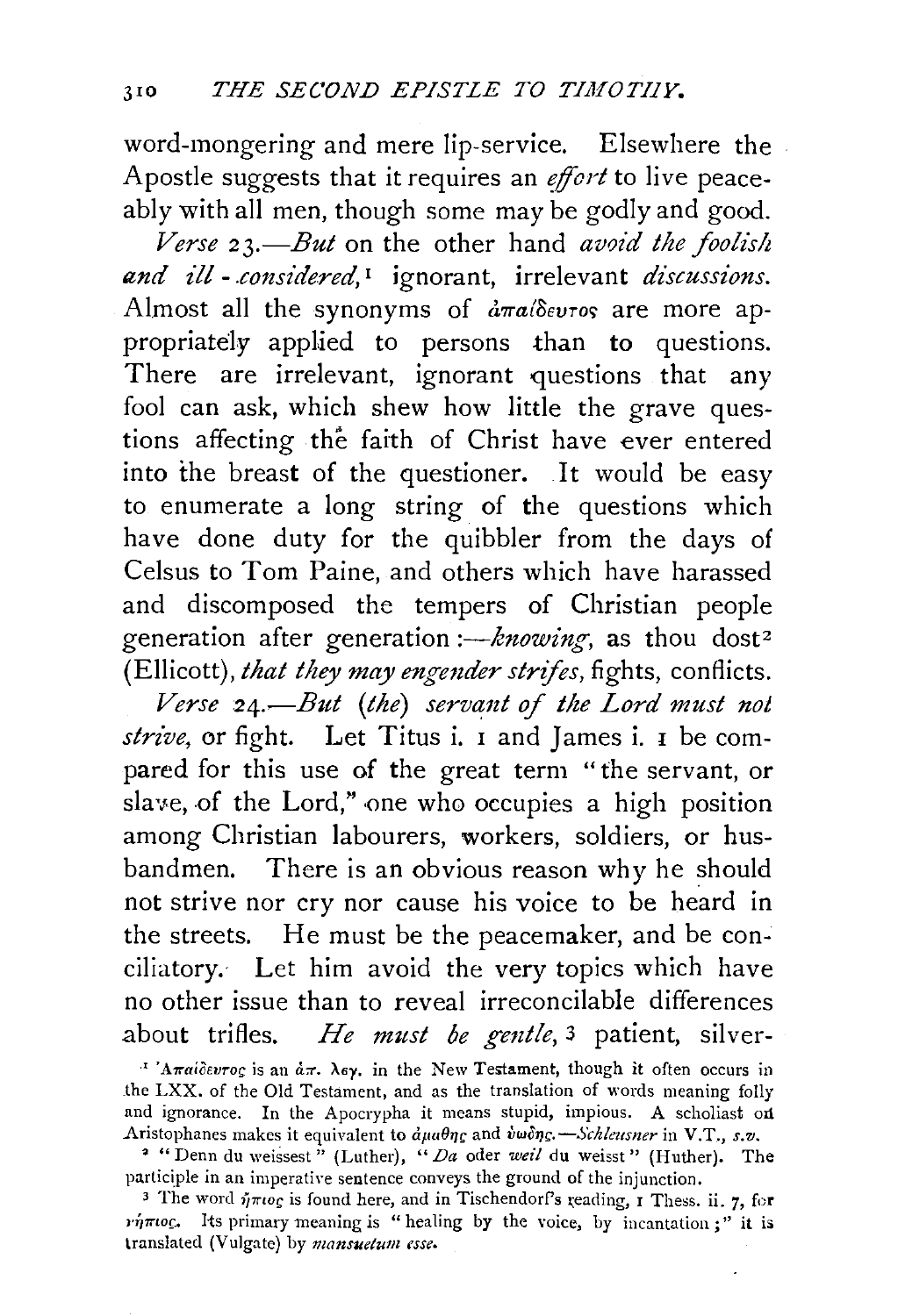word-mongering and mere lip-service. Elsewhere the Apostle suggests that it requires an *effort* to live peaceably with all men, though some may be godly and good.

*Verse 2 3.-But* on the other hand *avoid the foolish u,nd £!!* - *.cmzsidered,* 1 ignorant, irrelevant *discussions.*  Almost all the synonyms of  $d\pi a/\delta e\nu\tau\sigma s$  are more appropriately applied to persons than to questions. There are irrelevant, ignorant questions that any fool can ask, which shew how little the grave questions affecting the faith of Christ have ever entered into the breast of the questioner. It would be easy to enumerate a long string of the questions which have done duty for the quibbler from the days of Celsus to Tom Paine, and others which have harassed and discomposed the tempers of Christian people generation after generation *:- knowing*, as thou dost<sup>2</sup> (Ellicott), *that they may engender strifes*, fights, conflicts.

*Verse 24.*—But (the) servant of the Lord must not *strive,* or fight. Let Titus i. I and James i. I be compared for this use of the great term "the servant, or slave, of the Lord," one who occupies a high position among Christian labourers, workers, soldiers, or husbandmen. There is an obvious reason why he should not strive nor cry nor cause his voice to be heard in the streets. He must be the peacemaker, and be conciliatory. Let him avoid the very topics which have no other issue than to reveal irreconcilable differences about trifles. *He must be gentle*,<sup>3</sup> patient, silver-

<sup>1</sup> 'A $\pi a$ idevrog is an  $\dot{a}\pi$ .  $\lambda \epsilon y$ , in the New Testament, though it often occurs in the LXX. of the Old Testament, and as the translation of words meaning folly and ignorance. In the Apocrypha it means stupid, impious. A scholiast on Aristophanes makes it equivalent to  $d\mu a \theta \eta$ g and  $\dot{v} \omega \delta \eta$ g. - Schleusner in V.T., s.v.

<sup>&</sup>lt;sup>2</sup> "Denn du weissest" (Luther), "Da oder weil du weisst" (Huther). The participle in an imperative sentence conveys the ground of the injunction.

<sup>&</sup>lt;sup>3</sup> The word  $\eta \pi \iota o_S$  is found here, and in TischendorPs reading, r Thess. ii. 7, for  $\nu\eta\pi\iota o\varsigma$ . Its primary meaning is " healing by the voice, by incantation :" it is translated (Vulgate) by *mansuetum esse.*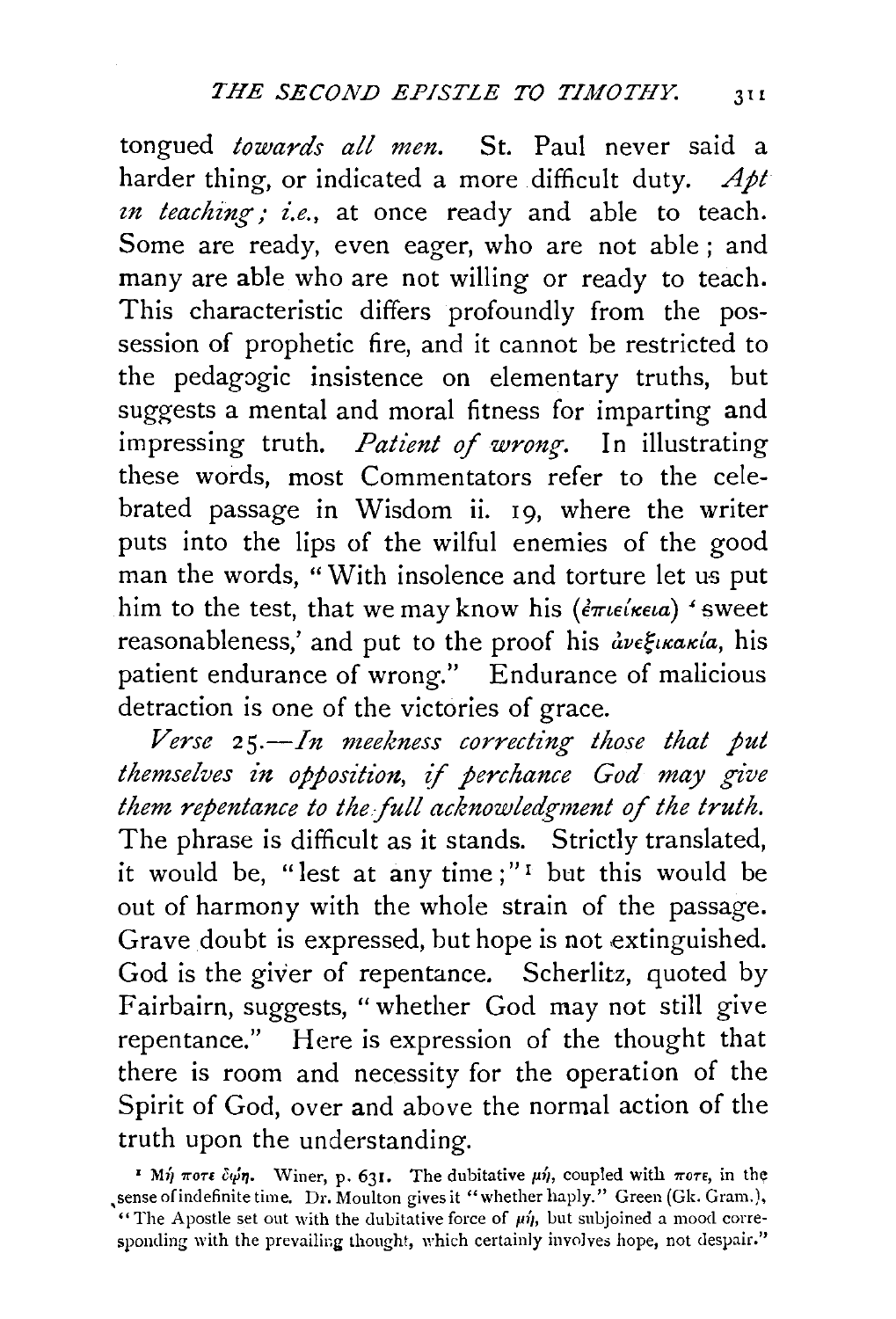tongued *towards all men.* St. Paul never said a harder thing, or indicated a more difficult duty. *Apt in teaching; i.e.*, at once ready and able to teach. Some are ready, even eager, who are not able; and many are able who are not willing or ready to teach. This characteristic differs profoundly from the possession of prophetic fire, and it cannot be restricted to the pedagogic insistence on elementary truths, but suggests a mental and moral fitness for imparting and impressing truth. *Patient of wrong*. In illustrating these words, most Commentators refer to the celebrated passage in Wisdom ii. 19, where the writer puts into the lips of the wilful enemies of the good man the words, "With insolence and torture let us put him to the test, that we may know his *(* $\epsilon \pi i \epsilon \epsilon \epsilon a$ *)* 'sweet reasonableness,' and put to the proof his  $\partial v \in \mathcal{E}$ *ikakia*, his patient endurance of wrong." Endurance of malicious detraction is one of the victories of grace.

*Verse 25.-In meekness correcting those that put themselves in opposition,* ff *perchance God may give them repentance to the full acknowledgment of the truth.* The phrase is difficult as it stands. Strictly translated, it would be, "lest at any time;"<sup> $\Gamma$ </sup> but this would be out of harmony with the whole strain of the passage. Grave doubt is expressed, but hope is not extinguished. God is the giver of repentance. Scherlitz, quoted by Fairbairn, suggests, "whether God may not still give repentance." Here is expression of the thought that there is room and necessity for the operation of the Spirit of God, over and above the normal action of the truth upon the understanding.

<sup>&</sup>lt;sup>*I Mh wore copn.* Winer, p. 631. The dubitative  $\mu$ h, coupled with  $\pi$ ore, in the</sup> sense of indefinite time. Dr. Moulton gives it "whether haply." Green (Gk. Gram.), "The Apostle set out with the dubitative force of  $\mu\eta$ , but subjoined a mood corresponding with the prevailing thought, which certainly involves hope, not despair."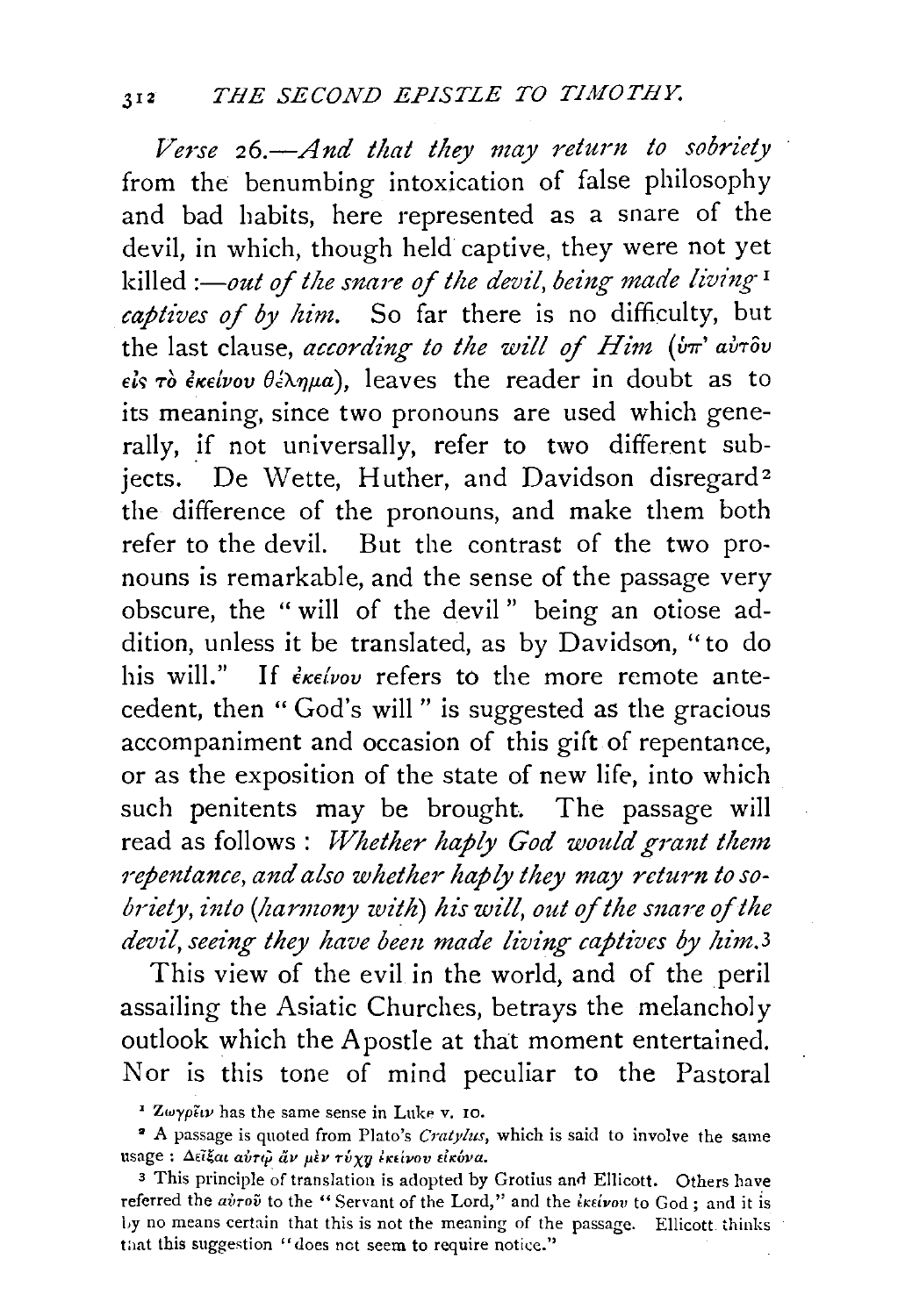*Verse 26.-And that they may return to sobriety*  from the benumbing intoxication of false philosophy and bad habits, here represented as a snare of the devil, in which, though held captive, they were not yet killed *:-out of the snare of the devil, being made living*<sup>1</sup> *captives of by him.* So far there is no difficulty, but the last clause, *according to the will of Him* (*υπ' αυτ*ου  $\epsilon$ *is*  $\tau$ *ò*  $\epsilon$ *k* $\epsilon$ *ivov*  $\theta \neq \lambda \eta \mu a$ , leaves the reader in doubt as to its meaning, since two pronouns are used which generally, if not universally, refer to two different subjects. De Wette, Huther, and Davidson disregard<sup>2</sup> the difference of the pronouns, and make them both refer to the devil. But the contrast of the two pronouns is remarkable, and the sense of the passage very obscure, the " will of the devil " being an otiose addition, unless it be translated, as by Davidson, "to do his will." If  $\epsilon_{\kappa\epsilon\ell\nu\sigma\nu}$  refers to the more remote antecedent, then "God's will" is suggested as the gracious accompaniment and occasion of this gift of repentance, or as the exposition of the state of new life, into which such penitents may be brought. The passage will read as follows : *Whether haply God would grant them* repentance, and also whether haply they may return to so*briety, into (harmony with) his will, out of the snare of the devil, seeing they have been made living captives by him.3* 

This view of the evil in the world, and of the peril assailing the Asiatic Churches, betrays the melancholy outlook which the Apostle at that moment entertained. Nor is this tone of mind peculiar to the Pastoral

 $\sim$  Zwyp $\tilde{\epsilon}$ iv has the same sense in Luke v. 10.

• A passage is quoted from Plato's *Cratylus,* which is said to involve the same usage : Δεΐξαι αύτι άν μεν τύχη έκείνου είκόνα.

<sup>3</sup> This principle of translation is adopted by Grotius and Ellicott. Others have referred the *airov* to the "Servant of the Lord," and the *iktivov* to God; and it is Ly no means certain that this is not the meaning of the passage. Ellicott thinks that this suggestion "does not seem to require notice."